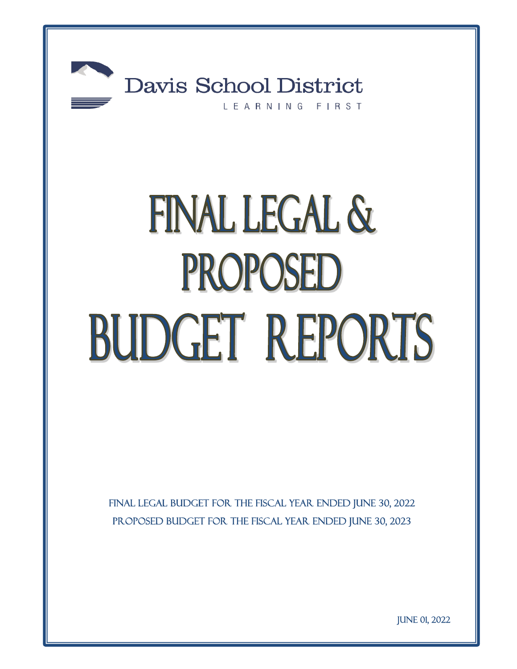

# FINAL LEGAL & PROPOSED BUDGET REPORTS

FINAL LEGAL BUDGET FOR THE FISCAL YEAR ENDED JUNE 30, 2022 PROPOSED BUDGET FOR THE FISCAL YEAR ENDED JUNE 30, 2023

June 01, 2022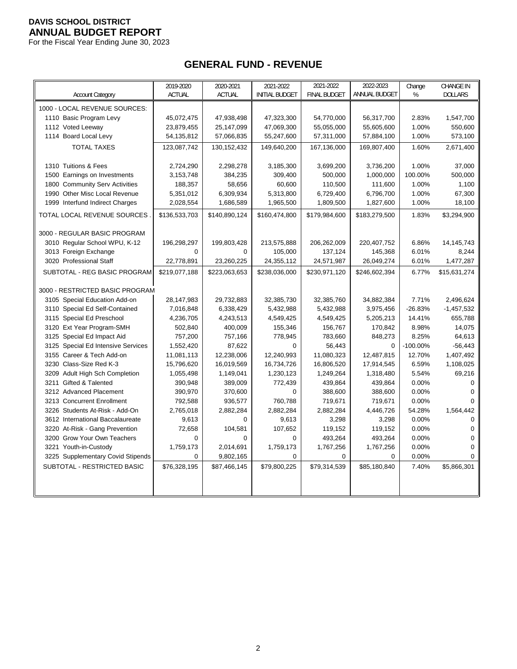For the Fiscal Year Ending June 30, 2023

# **GENERAL FUND - REVENUE**

| <b>ACTUAL</b><br>ANNUAL BUDGET<br>%<br><b>Account Category</b><br><b>ACTUAL</b><br><b>INITIAL BUDGET</b><br><b>FINAL BUDGET</b><br><b>DOLLARS</b><br>1000 - LOCAL REVENUE SOURCES:<br>1110 Basic Program Levy<br>45,072,475<br>47,938,498<br>47,323,300<br>54,770,000<br>56,317,700<br>2.83%<br>1,547,700<br>1112 Voted Leeway<br>23,879,455<br>25,147,099<br>47,069,300<br>55,055,000<br>55,605,600<br>1.00%<br>550,600<br>1114 Board Local Levy<br>1.00%<br>573,100<br>54,135,812<br>57,066,835<br>55,247,600<br>57,311,000<br>57,884,100<br><b>TOTAL TAXES</b><br>123,087,742<br>130, 152, 432<br>149,640,200<br>167,136,000<br>169,807,400<br>1.60%<br>2,671,400<br>37,000<br>1310 Tuitions & Fees<br>2,724,290<br>2,298,278<br>3,185,300<br>3,699,200<br>3,736,200<br>1.00%<br>384,235<br>309,400<br>500,000<br>1,000,000<br>100.00%<br>500,000<br>1500 Earnings on Investments<br>3,153,748<br>60,600<br>1.00%<br>1,100<br>1800 Community Serv Activities<br>188,357<br>58,656<br>110,500<br>111,600<br>1990 Other Misc Local Revenue<br>5,351,012<br>6,309,934<br>5,313,800<br>6,729,400<br>6,796,700<br>1.00%<br>67,300<br>1999 Interfund Indirect Charges<br>1,965,500<br>1,809,500<br>1.00%<br>18,100<br>2,028,554<br>1,686,589<br>1,827,600<br>TOTAL LOCAL REVENUE SOURCES<br>\$136,533,703<br>\$140,890,124<br>\$160,474,800<br>\$179,984,600<br>\$183,279,500<br>1.83%<br>\$3,294,900<br>3000 - REGULAR BASIC PROGRAM<br>3010 Regular School WPU, K-12<br>196,298,297<br>199,803,428<br>213,575,888<br>206,262,009<br>220,407,752<br>6.86%<br>14, 145, 743<br>3013 Foreign Exchange<br>$\Omega$<br>$\Omega$<br>105,000<br>137,124<br>145,368<br>6.01%<br>8,244<br>3020 Professional Staff<br>22,778,891<br>23,260,225<br>24,355,112<br>24,571,987<br>26,049,274<br>6.01%<br>1,477,287<br>SUBTOTAL - REG BASIC PROGRAM<br>\$219,077,188<br>\$223,063,653<br>\$238,036,000<br>\$230,971,120<br>\$246,602,394<br>6.77%<br>\$15,631,274<br>3000 - RESTRICTED BASIC PROGRAM<br>3105 Special Education Add-on<br>28,147,983<br>29,732,883<br>32,385,730<br>32,385,760<br>34,882,384<br>7.71%<br>2,496,624<br>3110 Special Ed Self-Contained<br>7,016,848<br>6,338,429<br>5,432,988<br>3,975,456<br>$-26.83%$<br>$-1,457,532$<br>5,432,988<br>3115 Special Ed Preschool<br>655,788<br>4,236,705<br>4,243,513<br>4,549,425<br>4,549,425<br>5,205,213<br>14.41%<br>3120 Ext Year Program-SMH<br>14,075<br>502,840<br>400,009<br>155,346<br>156,767<br>170,842<br>8.98%<br>3125 Special Ed Impact Aid<br>757,200<br>778,945<br>783,660<br>848,273<br>8.25%<br>64,613<br>757,166<br>3125 Special Ed Intensive Services<br>87,622<br>0<br>56,443<br>$-100.00\%$<br>$-56,443$<br>1,552,420<br>$\mathbf 0$<br>3155 Career & Tech Add-on<br>11,081,113<br>12,238,006<br>12,240,993<br>11,080,323<br>12,487,815<br>12.70%<br>1,407,492<br>3230 Class-Size Red K-3<br>15,796,620<br>16,019,569<br>16,734,726<br>16,806,520<br>17,914,545<br>6.59%<br>1,108,025<br>1,230,123<br>1,249,264<br>5.54%<br>69,216<br>3209 Adult High Sch Completion<br>1,055,498<br>1,149,041<br>1,318,480<br>3211 Gifted & Talented<br>390,948<br>389,009<br>772,439<br>439,864<br>439,864<br>0.00%<br>$\mathbf 0$<br>3212 Advanced Placement<br>390,970<br>370,600<br>$\Omega$<br>388,600<br>388,600<br>0.00%<br>$\mathbf 0$<br>3213 Concurrent Enrollment<br>792,588<br>936,577<br>760,788<br>719,671<br>719,671<br>0.00%<br>0<br>1,564,442<br>3226 Students At-Risk - Add-On<br>2,765,018<br>2,882,284<br>2,882,284<br>2,882,284<br>4,446,726<br>54.28%<br>0.00%<br>3612 International Baccalaureate<br>9,613<br>$\Omega$<br>9,613<br>3,298<br>3,298<br>$\Omega$<br>104,581<br>107,652<br>119,152<br>119,152<br>0.00%<br>$\mathbf 0$<br>3220 At-Risk - Gang Prevention<br>72,658<br>3200 Grow Your Own Teachers<br>$\mathbf 0$<br>0<br>$\mathbf 0$<br>0<br>493,264<br>493,264<br>0.00%<br>1,759,173<br>3221 Youth-in-Custody<br>1,759,173<br>2,014,691<br>1,767,256<br>1,767,256<br>0.00%<br>$\mathbf 0$<br>0.00%<br>3225 Supplementary Covid Stipends<br>0<br>9,802,165<br>0<br>0<br>0<br>0<br>SUBTOTAL - RESTRICTED BASIC<br>\$76,328,195<br>\$87,466,145<br>\$79,800,225<br>\$79,314,539<br>\$85,180,840<br>7.40%<br>\$5,866,301 | 2019-2020 | 2020-2021 | 2021-2022 | 2021-2022 | 2022-2023 | Change | <b>CHANGE IN</b> |
|---------------------------------------------------------------------------------------------------------------------------------------------------------------------------------------------------------------------------------------------------------------------------------------------------------------------------------------------------------------------------------------------------------------------------------------------------------------------------------------------------------------------------------------------------------------------------------------------------------------------------------------------------------------------------------------------------------------------------------------------------------------------------------------------------------------------------------------------------------------------------------------------------------------------------------------------------------------------------------------------------------------------------------------------------------------------------------------------------------------------------------------------------------------------------------------------------------------------------------------------------------------------------------------------------------------------------------------------------------------------------------------------------------------------------------------------------------------------------------------------------------------------------------------------------------------------------------------------------------------------------------------------------------------------------------------------------------------------------------------------------------------------------------------------------------------------------------------------------------------------------------------------------------------------------------------------------------------------------------------------------------------------------------------------------------------------------------------------------------------------------------------------------------------------------------------------------------------------------------------------------------------------------------------------------------------------------------------------------------------------------------------------------------------------------------------------------------------------------------------------------------------------------------------------------------------------------------------------------------------------------------------------------------------------------------------------------------------------------------------------------------------------------------------------------------------------------------------------------------------------------------------------------------------------------------------------------------------------------------------------------------------------------------------------------------------------------------------------------------------------------------------------------------------------------------------------------------------------------------------------------------------------------------------------------------------------------------------------------------------------------------------------------------------------------------------------------------------------------------------------------------------------------------------------------------------------------------------------------------------------------------------------------------------------------------------------------------------------------------------------------------------------------------------------------------------------------------------------------------------------------------------------------------------------------------------------------------------------------------------------------------------------------------------------------------------------------------------------------------------------------------------------------------------------------------------------------------------|-----------|-----------|-----------|-----------|-----------|--------|------------------|
|                                                                                                                                                                                                                                                                                                                                                                                                                                                                                                                                                                                                                                                                                                                                                                                                                                                                                                                                                                                                                                                                                                                                                                                                                                                                                                                                                                                                                                                                                                                                                                                                                                                                                                                                                                                                                                                                                                                                                                                                                                                                                                                                                                                                                                                                                                                                                                                                                                                                                                                                                                                                                                                                                                                                                                                                                                                                                                                                                                                                                                                                                                                                                                                                                                                                                                                                                                                                                                                                                                                                                                                                                                                                                                                                                                                                                                                                                                                                                                                                                                                                                                                                                                                                               |           |           |           |           |           |        |                  |
|                                                                                                                                                                                                                                                                                                                                                                                                                                                                                                                                                                                                                                                                                                                                                                                                                                                                                                                                                                                                                                                                                                                                                                                                                                                                                                                                                                                                                                                                                                                                                                                                                                                                                                                                                                                                                                                                                                                                                                                                                                                                                                                                                                                                                                                                                                                                                                                                                                                                                                                                                                                                                                                                                                                                                                                                                                                                                                                                                                                                                                                                                                                                                                                                                                                                                                                                                                                                                                                                                                                                                                                                                                                                                                                                                                                                                                                                                                                                                                                                                                                                                                                                                                                                               |           |           |           |           |           |        |                  |
|                                                                                                                                                                                                                                                                                                                                                                                                                                                                                                                                                                                                                                                                                                                                                                                                                                                                                                                                                                                                                                                                                                                                                                                                                                                                                                                                                                                                                                                                                                                                                                                                                                                                                                                                                                                                                                                                                                                                                                                                                                                                                                                                                                                                                                                                                                                                                                                                                                                                                                                                                                                                                                                                                                                                                                                                                                                                                                                                                                                                                                                                                                                                                                                                                                                                                                                                                                                                                                                                                                                                                                                                                                                                                                                                                                                                                                                                                                                                                                                                                                                                                                                                                                                                               |           |           |           |           |           |        |                  |
|                                                                                                                                                                                                                                                                                                                                                                                                                                                                                                                                                                                                                                                                                                                                                                                                                                                                                                                                                                                                                                                                                                                                                                                                                                                                                                                                                                                                                                                                                                                                                                                                                                                                                                                                                                                                                                                                                                                                                                                                                                                                                                                                                                                                                                                                                                                                                                                                                                                                                                                                                                                                                                                                                                                                                                                                                                                                                                                                                                                                                                                                                                                                                                                                                                                                                                                                                                                                                                                                                                                                                                                                                                                                                                                                                                                                                                                                                                                                                                                                                                                                                                                                                                                                               |           |           |           |           |           |        |                  |
|                                                                                                                                                                                                                                                                                                                                                                                                                                                                                                                                                                                                                                                                                                                                                                                                                                                                                                                                                                                                                                                                                                                                                                                                                                                                                                                                                                                                                                                                                                                                                                                                                                                                                                                                                                                                                                                                                                                                                                                                                                                                                                                                                                                                                                                                                                                                                                                                                                                                                                                                                                                                                                                                                                                                                                                                                                                                                                                                                                                                                                                                                                                                                                                                                                                                                                                                                                                                                                                                                                                                                                                                                                                                                                                                                                                                                                                                                                                                                                                                                                                                                                                                                                                                               |           |           |           |           |           |        |                  |
|                                                                                                                                                                                                                                                                                                                                                                                                                                                                                                                                                                                                                                                                                                                                                                                                                                                                                                                                                                                                                                                                                                                                                                                                                                                                                                                                                                                                                                                                                                                                                                                                                                                                                                                                                                                                                                                                                                                                                                                                                                                                                                                                                                                                                                                                                                                                                                                                                                                                                                                                                                                                                                                                                                                                                                                                                                                                                                                                                                                                                                                                                                                                                                                                                                                                                                                                                                                                                                                                                                                                                                                                                                                                                                                                                                                                                                                                                                                                                                                                                                                                                                                                                                                                               |           |           |           |           |           |        |                  |
|                                                                                                                                                                                                                                                                                                                                                                                                                                                                                                                                                                                                                                                                                                                                                                                                                                                                                                                                                                                                                                                                                                                                                                                                                                                                                                                                                                                                                                                                                                                                                                                                                                                                                                                                                                                                                                                                                                                                                                                                                                                                                                                                                                                                                                                                                                                                                                                                                                                                                                                                                                                                                                                                                                                                                                                                                                                                                                                                                                                                                                                                                                                                                                                                                                                                                                                                                                                                                                                                                                                                                                                                                                                                                                                                                                                                                                                                                                                                                                                                                                                                                                                                                                                                               |           |           |           |           |           |        |                  |
|                                                                                                                                                                                                                                                                                                                                                                                                                                                                                                                                                                                                                                                                                                                                                                                                                                                                                                                                                                                                                                                                                                                                                                                                                                                                                                                                                                                                                                                                                                                                                                                                                                                                                                                                                                                                                                                                                                                                                                                                                                                                                                                                                                                                                                                                                                                                                                                                                                                                                                                                                                                                                                                                                                                                                                                                                                                                                                                                                                                                                                                                                                                                                                                                                                                                                                                                                                                                                                                                                                                                                                                                                                                                                                                                                                                                                                                                                                                                                                                                                                                                                                                                                                                                               |           |           |           |           |           |        |                  |
|                                                                                                                                                                                                                                                                                                                                                                                                                                                                                                                                                                                                                                                                                                                                                                                                                                                                                                                                                                                                                                                                                                                                                                                                                                                                                                                                                                                                                                                                                                                                                                                                                                                                                                                                                                                                                                                                                                                                                                                                                                                                                                                                                                                                                                                                                                                                                                                                                                                                                                                                                                                                                                                                                                                                                                                                                                                                                                                                                                                                                                                                                                                                                                                                                                                                                                                                                                                                                                                                                                                                                                                                                                                                                                                                                                                                                                                                                                                                                                                                                                                                                                                                                                                                               |           |           |           |           |           |        |                  |
|                                                                                                                                                                                                                                                                                                                                                                                                                                                                                                                                                                                                                                                                                                                                                                                                                                                                                                                                                                                                                                                                                                                                                                                                                                                                                                                                                                                                                                                                                                                                                                                                                                                                                                                                                                                                                                                                                                                                                                                                                                                                                                                                                                                                                                                                                                                                                                                                                                                                                                                                                                                                                                                                                                                                                                                                                                                                                                                                                                                                                                                                                                                                                                                                                                                                                                                                                                                                                                                                                                                                                                                                                                                                                                                                                                                                                                                                                                                                                                                                                                                                                                                                                                                                               |           |           |           |           |           |        |                  |
|                                                                                                                                                                                                                                                                                                                                                                                                                                                                                                                                                                                                                                                                                                                                                                                                                                                                                                                                                                                                                                                                                                                                                                                                                                                                                                                                                                                                                                                                                                                                                                                                                                                                                                                                                                                                                                                                                                                                                                                                                                                                                                                                                                                                                                                                                                                                                                                                                                                                                                                                                                                                                                                                                                                                                                                                                                                                                                                                                                                                                                                                                                                                                                                                                                                                                                                                                                                                                                                                                                                                                                                                                                                                                                                                                                                                                                                                                                                                                                                                                                                                                                                                                                                                               |           |           |           |           |           |        |                  |
|                                                                                                                                                                                                                                                                                                                                                                                                                                                                                                                                                                                                                                                                                                                                                                                                                                                                                                                                                                                                                                                                                                                                                                                                                                                                                                                                                                                                                                                                                                                                                                                                                                                                                                                                                                                                                                                                                                                                                                                                                                                                                                                                                                                                                                                                                                                                                                                                                                                                                                                                                                                                                                                                                                                                                                                                                                                                                                                                                                                                                                                                                                                                                                                                                                                                                                                                                                                                                                                                                                                                                                                                                                                                                                                                                                                                                                                                                                                                                                                                                                                                                                                                                                                                               |           |           |           |           |           |        |                  |
|                                                                                                                                                                                                                                                                                                                                                                                                                                                                                                                                                                                                                                                                                                                                                                                                                                                                                                                                                                                                                                                                                                                                                                                                                                                                                                                                                                                                                                                                                                                                                                                                                                                                                                                                                                                                                                                                                                                                                                                                                                                                                                                                                                                                                                                                                                                                                                                                                                                                                                                                                                                                                                                                                                                                                                                                                                                                                                                                                                                                                                                                                                                                                                                                                                                                                                                                                                                                                                                                                                                                                                                                                                                                                                                                                                                                                                                                                                                                                                                                                                                                                                                                                                                                               |           |           |           |           |           |        |                  |
|                                                                                                                                                                                                                                                                                                                                                                                                                                                                                                                                                                                                                                                                                                                                                                                                                                                                                                                                                                                                                                                                                                                                                                                                                                                                                                                                                                                                                                                                                                                                                                                                                                                                                                                                                                                                                                                                                                                                                                                                                                                                                                                                                                                                                                                                                                                                                                                                                                                                                                                                                                                                                                                                                                                                                                                                                                                                                                                                                                                                                                                                                                                                                                                                                                                                                                                                                                                                                                                                                                                                                                                                                                                                                                                                                                                                                                                                                                                                                                                                                                                                                                                                                                                                               |           |           |           |           |           |        |                  |
|                                                                                                                                                                                                                                                                                                                                                                                                                                                                                                                                                                                                                                                                                                                                                                                                                                                                                                                                                                                                                                                                                                                                                                                                                                                                                                                                                                                                                                                                                                                                                                                                                                                                                                                                                                                                                                                                                                                                                                                                                                                                                                                                                                                                                                                                                                                                                                                                                                                                                                                                                                                                                                                                                                                                                                                                                                                                                                                                                                                                                                                                                                                                                                                                                                                                                                                                                                                                                                                                                                                                                                                                                                                                                                                                                                                                                                                                                                                                                                                                                                                                                                                                                                                                               |           |           |           |           |           |        |                  |
|                                                                                                                                                                                                                                                                                                                                                                                                                                                                                                                                                                                                                                                                                                                                                                                                                                                                                                                                                                                                                                                                                                                                                                                                                                                                                                                                                                                                                                                                                                                                                                                                                                                                                                                                                                                                                                                                                                                                                                                                                                                                                                                                                                                                                                                                                                                                                                                                                                                                                                                                                                                                                                                                                                                                                                                                                                                                                                                                                                                                                                                                                                                                                                                                                                                                                                                                                                                                                                                                                                                                                                                                                                                                                                                                                                                                                                                                                                                                                                                                                                                                                                                                                                                                               |           |           |           |           |           |        |                  |
|                                                                                                                                                                                                                                                                                                                                                                                                                                                                                                                                                                                                                                                                                                                                                                                                                                                                                                                                                                                                                                                                                                                                                                                                                                                                                                                                                                                                                                                                                                                                                                                                                                                                                                                                                                                                                                                                                                                                                                                                                                                                                                                                                                                                                                                                                                                                                                                                                                                                                                                                                                                                                                                                                                                                                                                                                                                                                                                                                                                                                                                                                                                                                                                                                                                                                                                                                                                                                                                                                                                                                                                                                                                                                                                                                                                                                                                                                                                                                                                                                                                                                                                                                                                                               |           |           |           |           |           |        |                  |
|                                                                                                                                                                                                                                                                                                                                                                                                                                                                                                                                                                                                                                                                                                                                                                                                                                                                                                                                                                                                                                                                                                                                                                                                                                                                                                                                                                                                                                                                                                                                                                                                                                                                                                                                                                                                                                                                                                                                                                                                                                                                                                                                                                                                                                                                                                                                                                                                                                                                                                                                                                                                                                                                                                                                                                                                                                                                                                                                                                                                                                                                                                                                                                                                                                                                                                                                                                                                                                                                                                                                                                                                                                                                                                                                                                                                                                                                                                                                                                                                                                                                                                                                                                                                               |           |           |           |           |           |        |                  |
|                                                                                                                                                                                                                                                                                                                                                                                                                                                                                                                                                                                                                                                                                                                                                                                                                                                                                                                                                                                                                                                                                                                                                                                                                                                                                                                                                                                                                                                                                                                                                                                                                                                                                                                                                                                                                                                                                                                                                                                                                                                                                                                                                                                                                                                                                                                                                                                                                                                                                                                                                                                                                                                                                                                                                                                                                                                                                                                                                                                                                                                                                                                                                                                                                                                                                                                                                                                                                                                                                                                                                                                                                                                                                                                                                                                                                                                                                                                                                                                                                                                                                                                                                                                                               |           |           |           |           |           |        |                  |
|                                                                                                                                                                                                                                                                                                                                                                                                                                                                                                                                                                                                                                                                                                                                                                                                                                                                                                                                                                                                                                                                                                                                                                                                                                                                                                                                                                                                                                                                                                                                                                                                                                                                                                                                                                                                                                                                                                                                                                                                                                                                                                                                                                                                                                                                                                                                                                                                                                                                                                                                                                                                                                                                                                                                                                                                                                                                                                                                                                                                                                                                                                                                                                                                                                                                                                                                                                                                                                                                                                                                                                                                                                                                                                                                                                                                                                                                                                                                                                                                                                                                                                                                                                                                               |           |           |           |           |           |        |                  |
|                                                                                                                                                                                                                                                                                                                                                                                                                                                                                                                                                                                                                                                                                                                                                                                                                                                                                                                                                                                                                                                                                                                                                                                                                                                                                                                                                                                                                                                                                                                                                                                                                                                                                                                                                                                                                                                                                                                                                                                                                                                                                                                                                                                                                                                                                                                                                                                                                                                                                                                                                                                                                                                                                                                                                                                                                                                                                                                                                                                                                                                                                                                                                                                                                                                                                                                                                                                                                                                                                                                                                                                                                                                                                                                                                                                                                                                                                                                                                                                                                                                                                                                                                                                                               |           |           |           |           |           |        |                  |
|                                                                                                                                                                                                                                                                                                                                                                                                                                                                                                                                                                                                                                                                                                                                                                                                                                                                                                                                                                                                                                                                                                                                                                                                                                                                                                                                                                                                                                                                                                                                                                                                                                                                                                                                                                                                                                                                                                                                                                                                                                                                                                                                                                                                                                                                                                                                                                                                                                                                                                                                                                                                                                                                                                                                                                                                                                                                                                                                                                                                                                                                                                                                                                                                                                                                                                                                                                                                                                                                                                                                                                                                                                                                                                                                                                                                                                                                                                                                                                                                                                                                                                                                                                                                               |           |           |           |           |           |        |                  |
|                                                                                                                                                                                                                                                                                                                                                                                                                                                                                                                                                                                                                                                                                                                                                                                                                                                                                                                                                                                                                                                                                                                                                                                                                                                                                                                                                                                                                                                                                                                                                                                                                                                                                                                                                                                                                                                                                                                                                                                                                                                                                                                                                                                                                                                                                                                                                                                                                                                                                                                                                                                                                                                                                                                                                                                                                                                                                                                                                                                                                                                                                                                                                                                                                                                                                                                                                                                                                                                                                                                                                                                                                                                                                                                                                                                                                                                                                                                                                                                                                                                                                                                                                                                                               |           |           |           |           |           |        |                  |
|                                                                                                                                                                                                                                                                                                                                                                                                                                                                                                                                                                                                                                                                                                                                                                                                                                                                                                                                                                                                                                                                                                                                                                                                                                                                                                                                                                                                                                                                                                                                                                                                                                                                                                                                                                                                                                                                                                                                                                                                                                                                                                                                                                                                                                                                                                                                                                                                                                                                                                                                                                                                                                                                                                                                                                                                                                                                                                                                                                                                                                                                                                                                                                                                                                                                                                                                                                                                                                                                                                                                                                                                                                                                                                                                                                                                                                                                                                                                                                                                                                                                                                                                                                                                               |           |           |           |           |           |        |                  |
|                                                                                                                                                                                                                                                                                                                                                                                                                                                                                                                                                                                                                                                                                                                                                                                                                                                                                                                                                                                                                                                                                                                                                                                                                                                                                                                                                                                                                                                                                                                                                                                                                                                                                                                                                                                                                                                                                                                                                                                                                                                                                                                                                                                                                                                                                                                                                                                                                                                                                                                                                                                                                                                                                                                                                                                                                                                                                                                                                                                                                                                                                                                                                                                                                                                                                                                                                                                                                                                                                                                                                                                                                                                                                                                                                                                                                                                                                                                                                                                                                                                                                                                                                                                                               |           |           |           |           |           |        |                  |
|                                                                                                                                                                                                                                                                                                                                                                                                                                                                                                                                                                                                                                                                                                                                                                                                                                                                                                                                                                                                                                                                                                                                                                                                                                                                                                                                                                                                                                                                                                                                                                                                                                                                                                                                                                                                                                                                                                                                                                                                                                                                                                                                                                                                                                                                                                                                                                                                                                                                                                                                                                                                                                                                                                                                                                                                                                                                                                                                                                                                                                                                                                                                                                                                                                                                                                                                                                                                                                                                                                                                                                                                                                                                                                                                                                                                                                                                                                                                                                                                                                                                                                                                                                                                               |           |           |           |           |           |        |                  |
|                                                                                                                                                                                                                                                                                                                                                                                                                                                                                                                                                                                                                                                                                                                                                                                                                                                                                                                                                                                                                                                                                                                                                                                                                                                                                                                                                                                                                                                                                                                                                                                                                                                                                                                                                                                                                                                                                                                                                                                                                                                                                                                                                                                                                                                                                                                                                                                                                                                                                                                                                                                                                                                                                                                                                                                                                                                                                                                                                                                                                                                                                                                                                                                                                                                                                                                                                                                                                                                                                                                                                                                                                                                                                                                                                                                                                                                                                                                                                                                                                                                                                                                                                                                                               |           |           |           |           |           |        |                  |
|                                                                                                                                                                                                                                                                                                                                                                                                                                                                                                                                                                                                                                                                                                                                                                                                                                                                                                                                                                                                                                                                                                                                                                                                                                                                                                                                                                                                                                                                                                                                                                                                                                                                                                                                                                                                                                                                                                                                                                                                                                                                                                                                                                                                                                                                                                                                                                                                                                                                                                                                                                                                                                                                                                                                                                                                                                                                                                                                                                                                                                                                                                                                                                                                                                                                                                                                                                                                                                                                                                                                                                                                                                                                                                                                                                                                                                                                                                                                                                                                                                                                                                                                                                                                               |           |           |           |           |           |        |                  |
|                                                                                                                                                                                                                                                                                                                                                                                                                                                                                                                                                                                                                                                                                                                                                                                                                                                                                                                                                                                                                                                                                                                                                                                                                                                                                                                                                                                                                                                                                                                                                                                                                                                                                                                                                                                                                                                                                                                                                                                                                                                                                                                                                                                                                                                                                                                                                                                                                                                                                                                                                                                                                                                                                                                                                                                                                                                                                                                                                                                                                                                                                                                                                                                                                                                                                                                                                                                                                                                                                                                                                                                                                                                                                                                                                                                                                                                                                                                                                                                                                                                                                                                                                                                                               |           |           |           |           |           |        |                  |
|                                                                                                                                                                                                                                                                                                                                                                                                                                                                                                                                                                                                                                                                                                                                                                                                                                                                                                                                                                                                                                                                                                                                                                                                                                                                                                                                                                                                                                                                                                                                                                                                                                                                                                                                                                                                                                                                                                                                                                                                                                                                                                                                                                                                                                                                                                                                                                                                                                                                                                                                                                                                                                                                                                                                                                                                                                                                                                                                                                                                                                                                                                                                                                                                                                                                                                                                                                                                                                                                                                                                                                                                                                                                                                                                                                                                                                                                                                                                                                                                                                                                                                                                                                                                               |           |           |           |           |           |        |                  |
|                                                                                                                                                                                                                                                                                                                                                                                                                                                                                                                                                                                                                                                                                                                                                                                                                                                                                                                                                                                                                                                                                                                                                                                                                                                                                                                                                                                                                                                                                                                                                                                                                                                                                                                                                                                                                                                                                                                                                                                                                                                                                                                                                                                                                                                                                                                                                                                                                                                                                                                                                                                                                                                                                                                                                                                                                                                                                                                                                                                                                                                                                                                                                                                                                                                                                                                                                                                                                                                                                                                                                                                                                                                                                                                                                                                                                                                                                                                                                                                                                                                                                                                                                                                                               |           |           |           |           |           |        |                  |
|                                                                                                                                                                                                                                                                                                                                                                                                                                                                                                                                                                                                                                                                                                                                                                                                                                                                                                                                                                                                                                                                                                                                                                                                                                                                                                                                                                                                                                                                                                                                                                                                                                                                                                                                                                                                                                                                                                                                                                                                                                                                                                                                                                                                                                                                                                                                                                                                                                                                                                                                                                                                                                                                                                                                                                                                                                                                                                                                                                                                                                                                                                                                                                                                                                                                                                                                                                                                                                                                                                                                                                                                                                                                                                                                                                                                                                                                                                                                                                                                                                                                                                                                                                                                               |           |           |           |           |           |        |                  |
|                                                                                                                                                                                                                                                                                                                                                                                                                                                                                                                                                                                                                                                                                                                                                                                                                                                                                                                                                                                                                                                                                                                                                                                                                                                                                                                                                                                                                                                                                                                                                                                                                                                                                                                                                                                                                                                                                                                                                                                                                                                                                                                                                                                                                                                                                                                                                                                                                                                                                                                                                                                                                                                                                                                                                                                                                                                                                                                                                                                                                                                                                                                                                                                                                                                                                                                                                                                                                                                                                                                                                                                                                                                                                                                                                                                                                                                                                                                                                                                                                                                                                                                                                                                                               |           |           |           |           |           |        |                  |
|                                                                                                                                                                                                                                                                                                                                                                                                                                                                                                                                                                                                                                                                                                                                                                                                                                                                                                                                                                                                                                                                                                                                                                                                                                                                                                                                                                                                                                                                                                                                                                                                                                                                                                                                                                                                                                                                                                                                                                                                                                                                                                                                                                                                                                                                                                                                                                                                                                                                                                                                                                                                                                                                                                                                                                                                                                                                                                                                                                                                                                                                                                                                                                                                                                                                                                                                                                                                                                                                                                                                                                                                                                                                                                                                                                                                                                                                                                                                                                                                                                                                                                                                                                                                               |           |           |           |           |           |        |                  |
|                                                                                                                                                                                                                                                                                                                                                                                                                                                                                                                                                                                                                                                                                                                                                                                                                                                                                                                                                                                                                                                                                                                                                                                                                                                                                                                                                                                                                                                                                                                                                                                                                                                                                                                                                                                                                                                                                                                                                                                                                                                                                                                                                                                                                                                                                                                                                                                                                                                                                                                                                                                                                                                                                                                                                                                                                                                                                                                                                                                                                                                                                                                                                                                                                                                                                                                                                                                                                                                                                                                                                                                                                                                                                                                                                                                                                                                                                                                                                                                                                                                                                                                                                                                                               |           |           |           |           |           |        |                  |
|                                                                                                                                                                                                                                                                                                                                                                                                                                                                                                                                                                                                                                                                                                                                                                                                                                                                                                                                                                                                                                                                                                                                                                                                                                                                                                                                                                                                                                                                                                                                                                                                                                                                                                                                                                                                                                                                                                                                                                                                                                                                                                                                                                                                                                                                                                                                                                                                                                                                                                                                                                                                                                                                                                                                                                                                                                                                                                                                                                                                                                                                                                                                                                                                                                                                                                                                                                                                                                                                                                                                                                                                                                                                                                                                                                                                                                                                                                                                                                                                                                                                                                                                                                                                               |           |           |           |           |           |        |                  |
|                                                                                                                                                                                                                                                                                                                                                                                                                                                                                                                                                                                                                                                                                                                                                                                                                                                                                                                                                                                                                                                                                                                                                                                                                                                                                                                                                                                                                                                                                                                                                                                                                                                                                                                                                                                                                                                                                                                                                                                                                                                                                                                                                                                                                                                                                                                                                                                                                                                                                                                                                                                                                                                                                                                                                                                                                                                                                                                                                                                                                                                                                                                                                                                                                                                                                                                                                                                                                                                                                                                                                                                                                                                                                                                                                                                                                                                                                                                                                                                                                                                                                                                                                                                                               |           |           |           |           |           |        |                  |
|                                                                                                                                                                                                                                                                                                                                                                                                                                                                                                                                                                                                                                                                                                                                                                                                                                                                                                                                                                                                                                                                                                                                                                                                                                                                                                                                                                                                                                                                                                                                                                                                                                                                                                                                                                                                                                                                                                                                                                                                                                                                                                                                                                                                                                                                                                                                                                                                                                                                                                                                                                                                                                                                                                                                                                                                                                                                                                                                                                                                                                                                                                                                                                                                                                                                                                                                                                                                                                                                                                                                                                                                                                                                                                                                                                                                                                                                                                                                                                                                                                                                                                                                                                                                               |           |           |           |           |           |        |                  |
|                                                                                                                                                                                                                                                                                                                                                                                                                                                                                                                                                                                                                                                                                                                                                                                                                                                                                                                                                                                                                                                                                                                                                                                                                                                                                                                                                                                                                                                                                                                                                                                                                                                                                                                                                                                                                                                                                                                                                                                                                                                                                                                                                                                                                                                                                                                                                                                                                                                                                                                                                                                                                                                                                                                                                                                                                                                                                                                                                                                                                                                                                                                                                                                                                                                                                                                                                                                                                                                                                                                                                                                                                                                                                                                                                                                                                                                                                                                                                                                                                                                                                                                                                                                                               |           |           |           |           |           |        |                  |
|                                                                                                                                                                                                                                                                                                                                                                                                                                                                                                                                                                                                                                                                                                                                                                                                                                                                                                                                                                                                                                                                                                                                                                                                                                                                                                                                                                                                                                                                                                                                                                                                                                                                                                                                                                                                                                                                                                                                                                                                                                                                                                                                                                                                                                                                                                                                                                                                                                                                                                                                                                                                                                                                                                                                                                                                                                                                                                                                                                                                                                                                                                                                                                                                                                                                                                                                                                                                                                                                                                                                                                                                                                                                                                                                                                                                                                                                                                                                                                                                                                                                                                                                                                                                               |           |           |           |           |           |        |                  |
|                                                                                                                                                                                                                                                                                                                                                                                                                                                                                                                                                                                                                                                                                                                                                                                                                                                                                                                                                                                                                                                                                                                                                                                                                                                                                                                                                                                                                                                                                                                                                                                                                                                                                                                                                                                                                                                                                                                                                                                                                                                                                                                                                                                                                                                                                                                                                                                                                                                                                                                                                                                                                                                                                                                                                                                                                                                                                                                                                                                                                                                                                                                                                                                                                                                                                                                                                                                                                                                                                                                                                                                                                                                                                                                                                                                                                                                                                                                                                                                                                                                                                                                                                                                                               |           |           |           |           |           |        |                  |
|                                                                                                                                                                                                                                                                                                                                                                                                                                                                                                                                                                                                                                                                                                                                                                                                                                                                                                                                                                                                                                                                                                                                                                                                                                                                                                                                                                                                                                                                                                                                                                                                                                                                                                                                                                                                                                                                                                                                                                                                                                                                                                                                                                                                                                                                                                                                                                                                                                                                                                                                                                                                                                                                                                                                                                                                                                                                                                                                                                                                                                                                                                                                                                                                                                                                                                                                                                                                                                                                                                                                                                                                                                                                                                                                                                                                                                                                                                                                                                                                                                                                                                                                                                                                               |           |           |           |           |           |        |                  |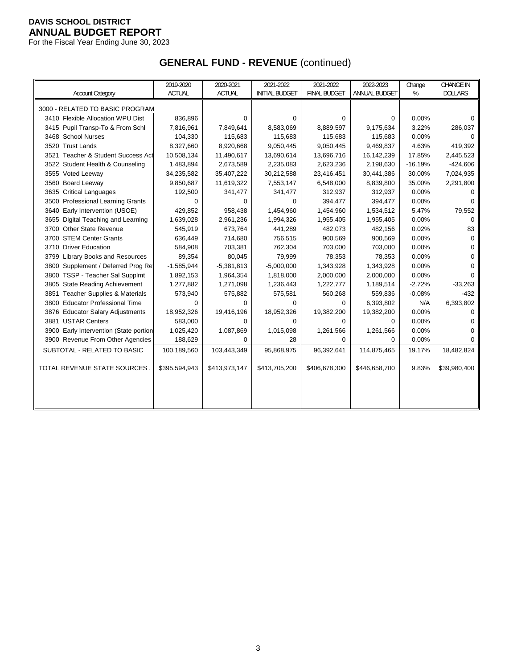For the Fiscal Year Ending June 30, 2023

# **GENERAL FUND - REVENUE** (continued)

|                                                 | 2019-2020     | 2020-2021     | 2021-2022             | 2021-2022           | 2022-2023     | Change    | CHANGE IN      |
|-------------------------------------------------|---------------|---------------|-----------------------|---------------------|---------------|-----------|----------------|
| <b>Account Category</b>                         | <b>ACTUAL</b> | <b>ACTUAL</b> | <b>INITIAL BUDGET</b> | <b>FINAL BUDGET</b> | ANNUAL BUDGET | %         | <b>DOLLARS</b> |
| 3000 - RELATED TO BASIC PROGRAM                 |               |               |                       |                     |               |           |                |
| 3410 Flexible Allocation WPU Dist               | 836,896       | 0             | $\Omega$              | $\Omega$            | 0             | 0.00%     | 0              |
| 3415 Pupil Transp-To & From Schl                | 7,816,961     | 7,849,641     | 8,583,069             | 8,889,597           | 9,175,634     | 3.22%     | 286,037        |
| 3468 School Nurses                              | 104,330       | 115,683       | 115,683               | 115,683             | 115,683       | 0.00%     | 0              |
| 3520 Trust Lands                                | 8,327,660     | 8,920,668     | 9,050,445             | 9,050,445           | 9,469,837     | 4.63%     | 419,392        |
| 3521 Teacher & Student Success Act              | 10,508,134    | 11,490,617    | 13,690,614            | 13,696,716          | 16,142,239    | 17.85%    | 2,445,523      |
| 3522 Student Health & Counseling                | 1,483,894     | 2,673,589     | 2,235,083             | 2,623,236           | 2,198,630     | $-16.19%$ | $-424,606$     |
| 3555 Voted Leeway                               | 34,235,582    | 35,407,222    | 30,212,588            | 23,416,451          | 30,441,386    | 30.00%    | 7,024,935      |
| 3560 Board Leeway                               | 9,850,687     | 11,619,322    | 7,553,147             | 6,548,000           | 8,839,800     | 35.00%    | 2,291,800      |
| 3635 Critical Languages                         | 192,500       | 341,477       | 341,477               | 312,937             | 312,937       | 0.00%     | O              |
| <b>Professional Learning Grants</b><br>3500     | 0             | 0             | 0                     | 394,477             | 394,477       | 0.00%     | <sup>0</sup>   |
| 3640 Early Intervention (USOE)                  | 429,852       | 958,438       | 1,454,960             | 1,454,960           | 1,534,512     | 5.47%     | 79,552         |
| 3655 Digital Teaching and Learning              | 1,639,028     | 2,961,236     | 1,994,326             | 1,955,405           | 1,955,405     | 0.00%     | 0              |
| 3700 Other State Revenue                        | 545,919       | 673,764       | 441,289               | 482,073             | 482,156       | 0.02%     | 83             |
| 3700 STEM Center Grants                         | 636,449       | 714,680       | 756,515               | 900,569             | 900,569       | 0.00%     | 0              |
| 3710 Driver Education                           | 584,908       | 703,381       | 762,304               | 703,000             | 703,000       | 0.00%     | 0              |
| 3799 Library Books and Resources                | 89,354        | 80,045        | 79,999                | 78,353              | 78,353        | 0.00%     | $\Omega$       |
| 3800 Supplement / Deferred Prog Re              | $-1,585,944$  | $-5,381,813$  | $-5,000,000$          | 1,343,928           | 1,343,928     | 0.00%     | O              |
| 3800 TSSP - Teacher Sal Supplmt                 | 1,892,153     | 1,964,354     | 1,818,000             | 2,000,000           | 2,000,000     | 0.00%     | $\Omega$       |
| 3805 State Reading Achievement                  | 1,277,882     | 1,271,098     | 1,236,443             | 1,222,777           | 1,189,514     | $-2.72%$  | $-33,263$      |
| <b>Teacher Supplies &amp; Materials</b><br>3851 | 573,940       | 575,882       | 575,581               | 560,268             | 559,836       | $-0.08%$  | $-432$         |
| 3800 Educator Professional Time                 | 0             | 0             | 0                     | 0                   | 6,393,802     | N/A       | 6,393,802      |
| 3876 Educator Salary Adjustments                | 18,952,326    | 19,416,196    | 18,952,326            | 19,382,200          | 19,382,200    | 0.00%     | $\Omega$       |
| 3881 USTAR Centers                              | 583,000       | 0             | $\Omega$              | $\Omega$            | $\Omega$      | 0.00%     | 0              |
| 3900 Early Intervention (State portion          | 1,025,420     | 1,087,869     | 1,015,098             | 1,261,566           | 1,261,566     | 0.00%     | $\Omega$       |
| 3900 Revenue From Other Agencies                | 188,629       | 0             | 28                    | $\Omega$            | 0             | 0.00%     | 0              |
| SUBTOTAL - RELATED TO BASIC                     | 100,189,560   | 103,443,349   | 95,868,975            | 96,392,641          | 114,875,465   | 19.17%    | 18,482,824     |
| TOTAL REVENUE STATE SOURCES                     | \$395,594,943 | \$413,973,147 | \$413,705,200         | \$406,678,300       | \$446,658,700 | 9.83%     | \$39,980,400   |
|                                                 |               |               |                       |                     |               |           |                |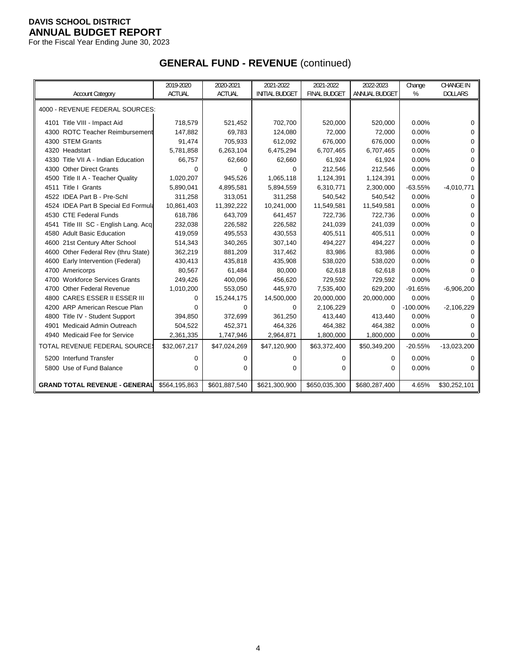For the Fiscal Year Ending June 30, 2023

# **GENERAL FUND - REVENUE** (continued)

|                                          | 2019-2020     | 2020-2021     | 2021-2022             | 2021-2022           | 2022-2023     | Change      | <b>CHANGE IN</b> |
|------------------------------------------|---------------|---------------|-----------------------|---------------------|---------------|-------------|------------------|
| <b>Account Category</b>                  | <b>ACTUAL</b> | <b>ACTUAL</b> | <b>INITIAL BUDGET</b> | <b>FINAL BUDGET</b> | ANNUAL BUDGET | %           | <b>DOLLARS</b>   |
| 4000 - REVENUE FEDERAL SOURCES:          |               |               |                       |                     |               |             |                  |
|                                          |               |               |                       |                     |               |             |                  |
| 4101 Title VIII - Impact Aid             | 718,579       | 521,452       | 702,700               | 520,000             | 520,000       | 0.00%       | 0                |
| 4300 ROTC Teacher Reimbursement          | 147,882       | 69,783        | 124,080               | 72,000              | 72,000        | 0.00%       | $\Omega$         |
| 4300 STEM Grants                         | 91,474        | 705,933       | 612,092               | 676,000             | 676,000       | 0.00%       | $\Omega$         |
| 4320 Headstart                           | 5,781,858     | 6,263,104     | 6,475,294             | 6,707,465           | 6,707,465     | 0.00%       | $\Omega$         |
| 4330 Title VII A - Indian Education      | 66,757        | 62,660        | 62,660                | 61,924              | 61,924        | 0.00%       | $\Omega$         |
| 4300 Other Direct Grants                 | 0             | $\Omega$      | $\Omega$              | 212,546             | 212,546       | 0.00%       | $\Omega$         |
| 4500 Title II A - Teacher Quality        | 1,020,207     | 945,526       | 1,065,118             | 1,124,391           | 1,124,391     | 0.00%       | $\Omega$         |
| Title I Grants<br>4511                   | 5,890,041     | 4,895,581     | 5,894,559             | 6,310,771           | 2,300,000     | $-63.55%$   | $-4,010,771$     |
| 4522 IDEA Part B - Pre-Schl              | 311,258       | 313,051       | 311,258               | 540,542             | 540,542       | 0.00%       | $\Omega$         |
| 4524 IDEA Part B Special Ed Formula      | 10,861,403    | 11,392,222    | 10,241,000            | 11,549,581          | 11,549,581    | 0.00%       | 0                |
| 4530 CTE Federal Funds                   | 618,786       | 643,709       | 641,457               | 722,736             | 722,736       | 0.00%       | $\Omega$         |
| 4541 Title III SC - English Lang. Acq    | 232,038       | 226,582       | 226,582               | 241,039             | 241,039       | 0.00%       | $\Omega$         |
| 4580 Adult Basic Education               | 419,059       | 495,553       | 430,553               | 405,511             | 405,511       | 0.00%       | $\Omega$         |
| 4600 21st Century After School           | 514,343       | 340,265       | 307,140               | 494,227             | 494,227       | 0.00%       | $\Omega$         |
| 4600 Other Federal Rev (thru State)      | 362,219       | 881,209       | 317,462               | 83,986              | 83,986        | 0.00%       | $\Omega$         |
| 4600 Early Intervention (Federal)        | 430,413       | 435,818       | 435,908               | 538,020             | 538,020       | 0.00%       | $\Omega$         |
| 4700 Americorps                          | 80,567        | 61,484        | 80,000                | 62,618              | 62,618        | 0.00%       | $\Omega$         |
| <b>Workforce Services Grants</b><br>4700 | 249,426       | 400,096       | 456,620               | 729,592             | 729,592       | 0.00%       | 0                |
| <b>Other Federal Revenue</b><br>4700     | 1,010,200     | 553,050       | 445,970               | 7,535,400           | 629,200       | $-91.65%$   | $-6,906,200$     |
| 4800 CARES ESSER II ESSER III            | $\Omega$      | 15,244,175    | 14,500,000            | 20,000,000          | 20,000,000    | 0.00%       | ∩                |
| 4200 ARP American Rescue Plan            | $\Omega$      | $\Omega$      | $\Omega$              | 2,106,229           | 0             | $-100.00\%$ | $-2,106,229$     |
| 4800 Title IV - Student Support          | 394,850       | 372,699       | 361,250               | 413,440             | 413,440       | 0.00%       | $\Omega$         |
| Medicaid Admin Outreach<br>4901          | 504,522       | 452,371       | 464,326               | 464,382             | 464,382       | 0.00%       | 0                |
| 4940 Medicaid Fee for Service            | 2,361,335     | 1,747,946     | 2,964,871             | 1,800,000           | 1,800,000     | 0.00%       | $\Omega$         |
| TOTAL REVENUE FEDERAL SOURCE             | \$32,067,217  | \$47,024,269  | \$47,120,900          | \$63,372,400        | \$50,349,200  | $-20.55%$   | $-13,023,200$    |
| 5200 Interfund Transfer                  | 0             | 0             | $\Omega$              | 0                   | 0             | 0.00%       | 0                |
| 5800 Use of Fund Balance                 | $\Omega$      | $\Omega$      | $\Omega$              | 0                   | 0             | 0.00%       | $\Omega$         |
|                                          |               |               |                       |                     |               |             |                  |
| <b>GRAND TOTAL REVENUE - GENERAL</b>     | \$564,195,863 | \$601,887,540 | \$621,300,900         | \$650,035,300       | \$680,287,400 | 4.65%       | \$30,252,101     |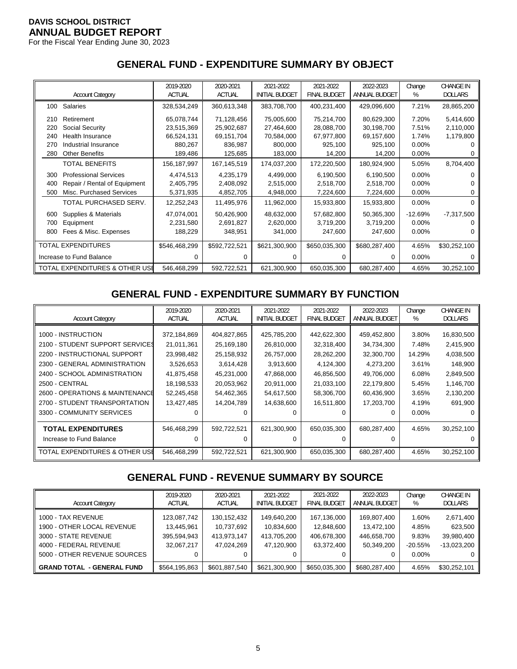For the Fiscal Year Ending June 30, 2023

## **GENERAL FUND - EXPENDITURE SUMMARY BY OBJECT**

|     |                                | 2019-2020     | 2020-2021     | 2021-2022             | 2021-2022           | 2022-2023     | Change    | <b>CHANGE IN</b> |
|-----|--------------------------------|---------------|---------------|-----------------------|---------------------|---------------|-----------|------------------|
|     | <b>Account Category</b>        | <b>ACTUAL</b> | <b>ACTUAL</b> | <b>INITIAL BUDGET</b> | <b>FINAL BUDGET</b> | ANNUAL BUDGET | %         | <b>DOLLARS</b>   |
| 100 | Salaries                       | 328,534,249   | 360,613,348   | 383,708,700           | 400,231,400         | 429,096,600   | 7.21%     | 28,865,200       |
| 210 | Retirement                     | 65,078,744    | 71,128,456    | 75,005,600            | 75,214,700          | 80,629,300    | 7.20%     | 5,414,600        |
| 220 | Social Security                | 23,515,369    | 25,902,687    | 27,464,600            | 28,088,700          | 30,198,700    | 7.51%     | 2,110,000        |
| 240 | Health Insurance               | 66,524,131    | 69,151,704    | 70,584,000            | 67,977,800          | 69,157,600    | 1.74%     | 1,179,800        |
| 270 | Industrial Insurance           | 880,267       | 836,987       | 800,000               | 925,100             | 925,100       | $0.00\%$  |                  |
| 280 | <b>Other Benefits</b>          | 189,486       | 125,685       | 183,000               | 14,200              | 14,200        | $0.00\%$  |                  |
|     | TOTAL BENEFITS                 | 156,187,997   | 167,145,519   | 174,037,200           | 172,220,500         | 180,924,900   | 5.05%     | 8,704,400        |
| 300 | <b>Professional Services</b>   | 4,474,513     | 4,235,179     | 4,499,000             | 6,190,500           | 6,190,500     | $0.00\%$  |                  |
| 400 | Repair / Rental of Equipment   | 2,405,795     | 2,408,092     | 2,515,000             | 2,518,700           | 2,518,700     | 0.00%     |                  |
| 500 | Misc. Purchased Services       | 5,371,935     | 4,852,705     | 4,948,000             | 7,224,600           | 7,224,600     | $0.00\%$  |                  |
|     | TOTAL PURCHASED SERV.          | 12,252,243    | 11,495,976    | 11,962,000            | 15,933,800          | 15,933,800    | $0.00\%$  | 0                |
| 600 | Supplies & Materials           | 47,074,001    | 50,426,900    | 48,632,000            | 57,682,800          | 50,365,300    | $-12.69%$ | $-7,317,500$     |
| 700 | Equipment                      | 2,231,580     | 2,691,827     | 2,620,000             | 3,719,200           | 3,719,200     | $0.00\%$  |                  |
| 800 | Fees & Misc. Expenses          | 188,229       | 348,951       | 341,000               | 247,600             | 247,600       | $0.00\%$  |                  |
|     | TOTAL EXPENDITURES             | \$546,468,299 | \$592,722,521 | \$621,300,900         | \$650,035,300       | \$680,287,400 | 4.65%     | \$30,252,100     |
|     | Increase to Fund Balance       | 0             | 0             | 0                     | 0                   | $\Omega$      | $0.00\%$  |                  |
|     | TOTAL EXPENDITURES & OTHER USE | 546,468,299   | 592,722,521   | 621,300,900           | 650,035,300         | 680,287,400   | 4.65%     | 30,252,100       |

# **GENERAL FUND - EXPENDITURE SUMMARY BY FUNCTION**

|                                 | 2019-2020     | 2020-2021     | 2021-2022      | 2021-2022           | 2022-2023     | Change   | <b>CHANGE IN</b> |
|---------------------------------|---------------|---------------|----------------|---------------------|---------------|----------|------------------|
| <b>Account Category</b>         | <b>ACTUAL</b> | <b>ACTUAL</b> | INITIAL BUDGET | <b>FINAL BUDGET</b> | ANNUAL BUDGET | %        | <b>DOLLARS</b>   |
| 1000 - INSTRUCTION              | 372,184,869   | 404,827,865   | 425,785,200    | 442,622,300         | 459,452,800   | 3.80%    | 16,830,500       |
| 2100 - STUDENT SUPPORT SERVICES | 21,011,361    | 25,169,180    | 26,810,000     | 32,318,400          | 34,734,300    | 7.48%    | 2,415,900        |
| 2200 - INSTRUCTIONAL SUPPORT    | 23,998,482    | 25,158,932    | 26,757,000     | 28,262,200          | 32,300,700    | 14.29%   | 4,038,500        |
| 2300 - GENERAL ADMINISTRATION   | 3,526,653     | 3,614,428     | 3,913,600      | 4,124,300           | 4,273,200     | 3.61%    | 148,900          |
| 2400 - SCHOOL ADMINISTRATION    | 41,875,458    | 45,231,000    | 47,868,000     | 46,856,500          | 49,706,000    | 6.08%    | 2,849,500        |
| <b>2500 - CENTRAL</b>           | 18,198,533    | 20,053,962    | 20,911,000     | 21,033,100          | 22,179,800    | 5.45%    | 1,146,700        |
| 2600 - OPERATIONS & MAINTENANCE | 52,245,458    | 54,462,365    | 54,617,500     | 58,306,700          | 60,436,900    | 3.65%    | 2,130,200        |
| 2700 - STUDENT TRANSPORTATION   | 13,427,485    | 14,204,789    | 14,638,600     | 16,511,800          | 17,203,700    | 4.19%    | 691,900          |
| 3300 - COMMUNITY SERVICES       |               |               |                |                     | $\Omega$      | $0.00\%$ |                  |
| <b>TOTAL EXPENDITURES</b>       | 546,468,299   | 592,722,521   | 621,300,900    | 650,035,300         | 680,287,400   | 4.65%    | 30,252,100       |
| Increase to Fund Balance        |               |               |                |                     | 0             |          |                  |
| TOTAL EXPENDITURES & OTHER USI  | 546,468,299   | 592,722,521   | 621,300,900    | 650,035,300         | 680,287,400   | 4.65%    | 30,252,100       |

# **GENERAL FUND - REVENUE SUMMARY BY SOURCE**

| <b>Account Category</b>                                                                                                            | 2019-2020<br><b>ACTUAL</b>                             | 2020-2021<br><b>ACTUAL</b>                               | 2021-2022<br><b>INITIAL BUDGET</b>                     | 2021-2022<br><b>FINAL BUDGET</b>                       | 2022-2023<br>ANNUAL BUDGET                                  | Change<br>%                                      | <b>CHANGE IN</b><br><b>DOLLARS</b>                       |
|------------------------------------------------------------------------------------------------------------------------------------|--------------------------------------------------------|----------------------------------------------------------|--------------------------------------------------------|--------------------------------------------------------|-------------------------------------------------------------|--------------------------------------------------|----------------------------------------------------------|
| 1000 - TAX REVENUE<br>1900 - OTHER LOCAL REVENUE<br>3000 - STATE REVENUE<br>4000 - FEDERAL REVENUE<br>5000 - OTHER REVENUE SOURCES | 123,087,742<br>13.445.961<br>395,594,943<br>32.067.217 | 130, 152, 432<br>10,737,692<br>413,973,147<br>47.024.269 | 149,640,200<br>10,834,600<br>413,705,200<br>47,120,900 | 167,136,000<br>12,848,600<br>406,678,300<br>63,372,400 | 169,807,400<br>13.472.100<br>446,658,700<br>50,349,200<br>0 | 1.60%<br>4.85%<br>9.83%<br>$-20.55%$<br>$0.00\%$ | 2,671,400<br>623,500<br>39,980,400<br>$-13.023.200$<br>0 |
| <b>GRAND TOTAL - GENERAL FUND</b>                                                                                                  | \$564,195,863                                          | \$601,887,540                                            | \$621,300,900                                          | \$650,035,300                                          | \$680,287,400                                               | 4.65%                                            | \$30,252,101                                             |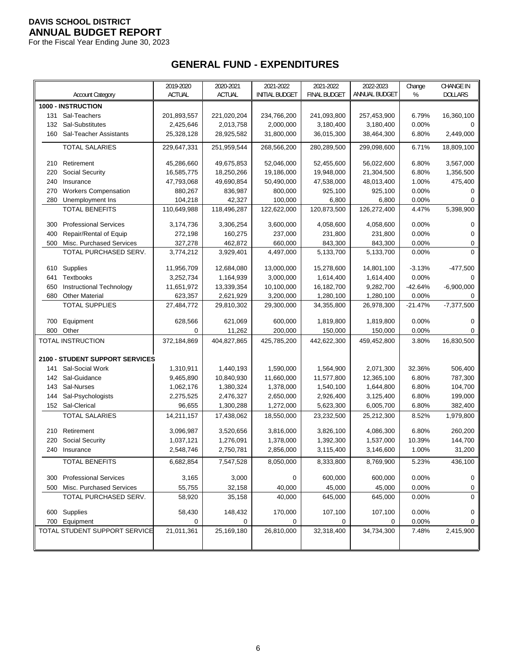For the Fiscal Year Ending June 30, 2023

# **GENERAL FUND - EXPENDITURES**

|     |                                 | 2019-2020     | 2020-2021   | 2021-2022             | 2021-2022           | 2022-2023     | Change    | <b>CHANGE IN</b> |
|-----|---------------------------------|---------------|-------------|-----------------------|---------------------|---------------|-----------|------------------|
|     | <b>Account Category</b>         | <b>ACTUAL</b> | ACTUAL      | <b>INITIAL BUDGET</b> | <b>FINAL BUDGET</b> | ANNUAL BUDGET | %         | <b>DOLLARS</b>   |
|     | 1000 - INSTRUCTION              |               |             |                       |                     |               |           |                  |
| 131 | Sal-Teachers                    | 201,893,557   | 221,020,204 | 234,766,200           | 241,093,800         | 257,453,900   | 6.79%     | 16,360,100       |
| 132 | Sal-Substitutes                 | 2,425,646     | 2,013,758   | 2,000,000             | 3,180,400           | 3,180,400     | 0.00%     | 0                |
| 160 | Sal-Teacher Assistants          | 25,328,128    | 28,925,582  | 31,800,000            | 36,015,300          | 38,464,300    | 6.80%     | 2,449,000        |
|     | <b>TOTAL SALARIES</b>           | 229,647,331   | 251,959,544 | 268,566,200           | 280,289,500         | 299,098,600   | 6.71%     | 18,809,100       |
|     |                                 |               |             |                       |                     |               |           |                  |
| 210 | Retirement                      | 45,286,660    | 49,675,853  | 52,046,000            | 52,455,600          | 56,022,600    | 6.80%     | 3,567,000        |
| 220 | <b>Social Security</b>          | 16,585,775    | 18,250,266  | 19,186,000            | 19,948,000          | 21,304,500    | 6.80%     | 1,356,500        |
| 240 | Insurance                       | 47,793,068    | 49,690,854  | 50,490,000            | 47,538,000          | 48,013,400    | 1.00%     | 475,400          |
| 270 | <b>Workers Compensation</b>     | 880,267       | 836,987     | 800,000               | 925,100             | 925,100       | 0.00%     | 0                |
| 280 | Unemployment Ins                | 104,218       | 42,327      | 100,000               | 6,800               | 6,800         | 0.00%     | 0                |
|     | <b>TOTAL BENEFITS</b>           | 110,649,988   | 118,496,287 | 122,622,000           | 120,873,500         | 126,272,400   | 4.47%     | 5,398,900        |
| 300 | <b>Professional Services</b>    | 3,174,736     | 3,306,254   | 3,600,000             | 4,058,600           | 4,058,600     | 0.00%     | 0                |
| 400 | Repair/Rental of Equip          | 272,198       | 160,275     | 237,000               | 231,800             | 231,800       | 0.00%     | 0                |
| 500 | Misc. Purchased Services        | 327,278       | 462,872     | 660,000               | 843,300             | 843,300       | 0.00%     | 0                |
|     | TOTAL PURCHASED SERV.           | 3,774,212     | 3,929,401   | 4,497,000             | 5,133,700           | 5,133,700     | 0.00%     | 0                |
| 610 | Supplies                        | 11,956,709    | 12,684,080  | 13,000,000            | 15,278,600          | 14,801,100    | $-3.13%$  | $-477,500$       |
| 641 | <b>Textbooks</b>                | 3,252,734     | 1,164,939   | 3,000,000             | 1,614,400           | 1,614,400     | 0.00%     | 0                |
| 650 | Instructional Technology        | 11,651,972    | 13,339,354  | 10,100,000            | 16,182,700          | 9,282,700     | $-42.64%$ | $-6,900,000$     |
| 680 | <b>Other Material</b>           | 623,357       | 2,621,929   | 3,200,000             | 1,280,100           | 1,280,100     | 0.00%     | 0                |
|     | <b>TOTAL SUPPLIES</b>           | 27,484,772    | 29,810,302  | 29,300,000            | 34,355,800          | 26,978,300    | $-21.47%$ | $-7,377,500$     |
|     |                                 |               |             |                       |                     |               |           |                  |
| 700 | Equipment                       | 628,566       | 621,069     | 600,000               | 1,819,800           | 1,819,800     | 0.00%     | 0                |
| 800 | Other                           | 0             | 11,262      | 200,000               | 150,000             | 150,000       | 0.00%     | $\Omega$         |
|     | TOTAL INSTRUCTION               | 372,184,869   | 404,827,865 | 425,785,200           | 442,622,300         | 459,452,800   | 3.80%     | 16,830,500       |
|     | 2100 - STUDENT SUPPORT SERVICES |               |             |                       |                     |               |           |                  |
| 141 | Sal-Social Work                 | 1,310,911     | 1,440,193   | 1,590,000             | 1,564,900           | 2,071,300     | 32.36%    | 506,400          |
| 142 | Sal-Guidance                    | 9,465,890     | 10,840,930  | 11,660,000            | 11,577,800          | 12,365,100    | 6.80%     | 787,300          |
| 143 | Sal-Nurses                      | 1,062,176     | 1,380,324   | 1,378,000             | 1,540,100           | 1,644,800     | 6.80%     | 104,700          |
| 144 | Sal-Psychologists               | 2,275,525     | 2,476,327   | 2,650,000             | 2,926,400           | 3,125,400     | 6.80%     | 199,000          |
| 152 | Sal-Clerical                    | 96,655        | 1,300,288   | 1,272,000             | 5,623,300           | 6,005,700     | 6.80%     | 382,400          |
|     | <b>TOTAL SALARIES</b>           | 14,211,157    | 17,438,062  | 18,550,000            | 23,232,500          | 25,212,300    | 8.52%     | 1,979,800        |
| 210 | Retirement                      | 3,096,987     | 3,520,656   | 3,816,000             | 3,826,100           | 4,086,300     | 6.80%     | 260,200          |
| 220 | Social Security                 | 1,037,121     | 1,276,091   | 1,378,000             | 1,392,300           | 1,537,000     | 10.39%    | 144,700          |
|     | 240 Insurance                   | 2,548,746     | 2,750,781   | 2,856,000             | 3,115,400           | 3,146,600     | 1.00%     | 31,200           |
|     | <b>TOTAL BENEFITS</b>           | 6,682,854     | 7,547,528   | 8,050,000             | 8,333,800           | 8,769,900     | 5.23%     | 436,100          |
|     |                                 |               |             |                       |                     |               |           |                  |
| 300 | <b>Professional Services</b>    | 3,165         | 3,000       | 0                     | 600,000             | 600,000       | 0.00%     | 0                |
| 500 | Misc. Purchased Services        | 55,755        | 32,158      | 40,000                | 45,000              | 45,000        | 0.00%     | 0                |
|     | TOTAL PURCHASED SERV.           | 58,920        | 35,158      | 40,000                | 645,000             | 645,000       | 0.00%     | $\Omega$         |
|     | 600 Supplies                    | 58,430        | 148,432     | 170,000               | 107,100             | 107,100       | 0.00%     | 0                |
|     | 700 Equipment                   | 0             | 0           | 0                     | 0                   | 0             | 0.00%     | 0                |
|     | TOTAL STUDENT SUPPORT SERVICE   | 21,011,361    | 25,169,180  | 26,810,000            | 32,318,400          | 34,734,300    | 7.48%     | 2,415,900        |
|     |                                 |               |             |                       |                     |               |           |                  |
|     |                                 |               |             |                       |                     |               |           |                  |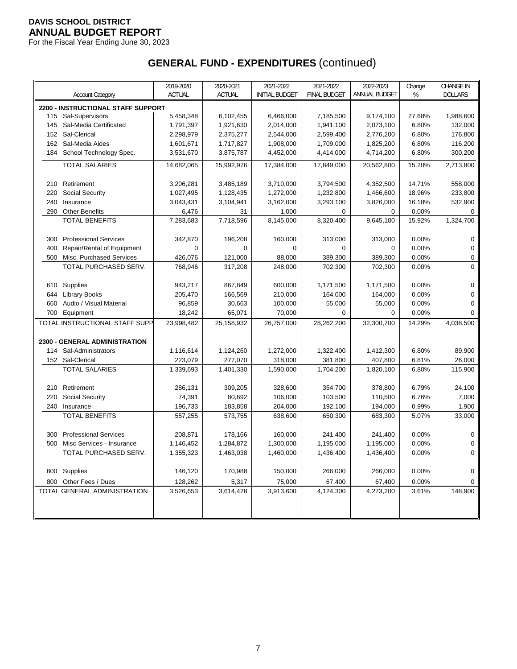For the Fiscal Year Ending June 30, 2023

|     |                                      | 2019-2020     | 2020-2021     | 2021-2022             | 2021-2022           | 2022-2023     | Change | <b>CHANGE IN</b> |
|-----|--------------------------------------|---------------|---------------|-----------------------|---------------------|---------------|--------|------------------|
|     | <b>Account Category</b>              | <b>ACTUAL</b> | <b>ACTUAL</b> | <b>INITIAL BUDGET</b> | <b>FINAL BUDGET</b> | ANNUAL BUDGET | %      | <b>DOLLARS</b>   |
|     | 2200 - INSTRUCTIONAL STAFF SUPPORT   |               |               |                       |                     |               |        |                  |
| 115 | Sal-Supervisors                      | 5,458,348     | 6,102,455     | 6,466,000             | 7,185,500           | 9,174,100     | 27.68% | 1,988,600        |
| 145 | Sal-Media Certificated               | 1,791,397     | 1,921,630     | 2,014,000             | 1,941,100           | 2,073,100     | 6.80%  | 132,000          |
| 152 | Sal-Clerical                         | 2,298,979     | 2,375,277     | 2,544,000             | 2,599,400           | 2,776,200     | 6.80%  | 176,800          |
| 162 | Sal-Media Aides                      | 1,601,671     | 1,717,827     | 1,908,000             | 1,709,000           | 1,825,200     | 6.80%  | 116,200          |
| 184 | School Technology Spec.              | 3,531,670     | 3,875,787     | 4,452,000             | 4,414,000           | 4,714,200     | 6.80%  | 300,200          |
|     | <b>TOTAL SALARIES</b>                | 14,682,065    | 15,992,976    | 17,384,000            | 17,849,000          | 20,562,800    | 15.20% | 2,713,800        |
|     |                                      |               |               |                       |                     |               |        |                  |
| 210 | Retirement                           | 3,206,281     | 3,485,189     | 3,710,000             | 3,794,500           | 4,352,500     | 14.71% | 558,000          |
| 220 | Social Security                      | 1,027,495     | 1,128,435     | 1,272,000             | 1,232,800           | 1,466,600     | 18.96% | 233,800          |
| 240 | Insurance                            | 3,043,431     | 3,104,941     | 3,162,000             | 3,293,100           | 3,826,000     | 16.18% | 532,900          |
| 290 | <b>Other Benefits</b>                | 6,476         | 31            | 1,000                 | 0                   | $\mathbf 0$   | 0.00%  | $\mathbf 0$      |
|     | <b>TOTAL BENEFITS</b>                | 7,283,683     | 7,718,596     | 8,145,000             | 8,320,400           | 9,645,100     | 15.92% | 1,324,700        |
|     |                                      |               |               |                       |                     |               |        |                  |
| 300 | <b>Professional Services</b>         | 342,870       | 196,208       | 160,000               | 313,000             | 313,000       | 0.00%  | $\mathbf 0$      |
| 400 | Repair/Rental of Equipment           | $\mathbf 0$   | $\mathbf 0$   | $\mathbf 0$           | $\mathbf 0$         | $\mathbf 0$   | 0.00%  | 0                |
| 500 | Misc. Purchased Services             | 426,076       | 121,000       | 88,000                | 389,300             | 389,300       | 0.00%  | 0                |
|     | TOTAL PURCHASED SERV.                | 768,946       | 317,208       | 248,000               | 702,300             | 702,300       | 0.00%  | 0                |
|     |                                      |               |               |                       |                     |               |        |                  |
| 610 | Supplies                             | 943,217       | 867,849       | 600,000               | 1,171,500           | 1,171,500     | 0.00%  | 0                |
| 644 | <b>Library Books</b>                 | 205,470       | 166,569       | 210,000               | 164,000             | 164,000       | 0.00%  | 0                |
| 660 | Audio / Visual Material              | 96,859        | 30,663        | 100,000               | 55,000              | 55,000        | 0.00%  | $\mathbf 0$      |
| 700 | Equipment                            | 18,242        | 65,071        | 70,000                | $\mathbf 0$         | 0             | 0.00%  | $\Omega$         |
|     | TOTAL INSTRUCTIONAL STAFF SUPP       | 23,998,482    | 25,158,932    | 26,757,000            | 28,262,200          | 32,300,700    | 14.29% | 4,038,500        |
|     |                                      |               |               |                       |                     |               |        |                  |
|     | <b>2300 - GENERAL ADMINISTRATION</b> |               |               |                       |                     |               |        |                  |
| 114 | Sal-Administrators                   | 1,116,614     | 1,124,260     | 1,272,000             | 1,322,400           | 1,412,300     | 6.80%  | 89,900           |
| 152 | Sal-Clerical                         | 223,079       | 277,070       | 318,000               | 381,800             | 407,800       | 6.81%  | 26,000           |
|     | <b>TOTAL SALARIES</b>                | 1,339,693     | 1,401,330     | 1,590,000             | 1,704,200           | 1,820,100     | 6.80%  | 115,900          |
|     |                                      |               |               |                       |                     |               |        |                  |
| 210 | Retirement                           | 286,131       | 309,205       | 328,600               | 354,700             | 378,800       | 6.79%  | 24,100           |
| 220 | Social Security                      | 74,391        | 80,692        | 106,000               | 103,500             | 110,500       | 6.76%  | 7,000            |
| 240 | Insurance                            | 196,733       | 183,858       | 204,000               | 192,100             | 194,000       | 0.99%  | 1,900            |
|     | <b>TOTAL BENEFITS</b>                | 557,255       | 573,755       | 638,600               | 650,300             | 683,300       | 5.07%  | 33,000           |
| 300 | <b>Professional Services</b>         | 208,871       | 178,166       | 160,000               | 241,400             | 241,400       | 0.00%  | $\mathbf 0$      |
| 500 | Misc Services - Insurance            | 1,146,452     | 1,284,872     | 1,300,000             | 1,195,000           | 1,195,000     | 0.00%  | 0                |
|     | TOTAL PURCHASED SERV.                | 1,355,323     | 1,463,038     | 1,460,000             | 1,436,400           | 1,436,400     | 0.00%  | $\overline{0}$   |
|     |                                      |               |               |                       |                     |               |        |                  |
| 600 | Supplies                             | 146,120       | 170,988       | 150,000               | 266,000             | 266,000       | 0.00%  | $\mathbf 0$      |
| 800 | Other Fees / Dues                    | 128,262       | 5,317         | 75,000                | 67,400              | 67,400        | 0.00%  | 0                |
|     | TOTAL GENERAL ADMINISTRATION         | 3,526,653     | 3,614,428     | 3,913,600             | 4,124,300           | 4,273,200     | 3.61%  | 148,900          |
|     |                                      |               |               |                       |                     |               |        |                  |
|     |                                      |               |               |                       |                     |               |        |                  |
|     |                                      |               |               |                       |                     |               |        |                  |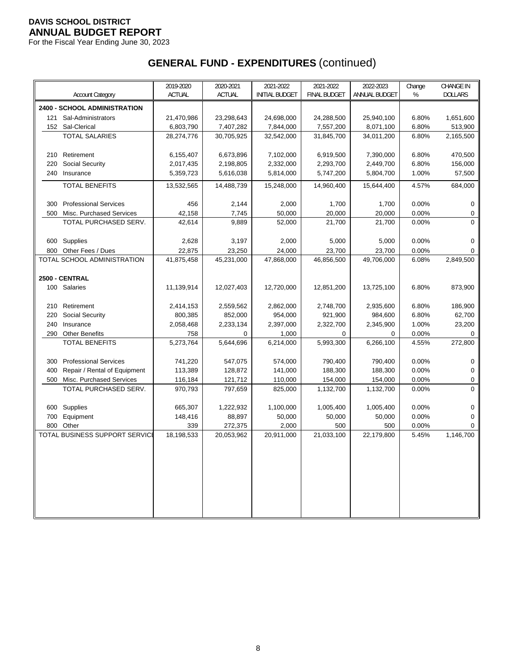For the Fiscal Year Ending June 30, 2023

|     |                                | 2019-2020     | 2020-2021      | 2021-2022             | 2021-2022           | 2022-2023       | Change | <b>CHANGE IN</b> |
|-----|--------------------------------|---------------|----------------|-----------------------|---------------------|-----------------|--------|------------------|
|     | <b>Account Category</b>        | <b>ACTUAL</b> | <b>ACTUAL</b>  | <b>INITIAL BUDGET</b> | <b>FINAL BUDGET</b> | ANNUAL BUDGET   | %      | <b>DOLLARS</b>   |
|     | 2400 - SCHOOL ADMINISTRATION   |               |                |                       |                     |                 |        |                  |
| 121 | Sal-Administrators             | 21,470,986    | 23,298,643     | 24,698,000            | 24,288,500          | 25,940,100      | 6.80%  | 1,651,600        |
|     | 152 Sal-Clerical               | 6,803,790     | 7,407,282      | 7,844,000             | 7,557,200           | 8,071,100       | 6.80%  | 513,900          |
|     | <b>TOTAL SALARIES</b>          | 28,274,776    | 30,705,925     | 32,542,000            | 31,845,700          | 34,011,200      | 6.80%  | 2,165,500        |
|     |                                |               |                |                       |                     |                 |        |                  |
| 210 | Retirement                     | 6,155,407     | 6,673,896      | 7,102,000             | 6,919,500           | 7,390,000       | 6.80%  | 470,500          |
| 220 | Social Security                | 2,017,435     | 2,198,805      | 2,332,000             | 2,293,700           | 2,449,700       | 6.80%  | 156,000          |
|     | 240 Insurance                  | 5,359,723     | 5,616,038      | 5,814,000             | 5,747,200           | 5,804,700       | 1.00%  | 57,500           |
|     | <b>TOTAL BENEFITS</b>          | 13,532,565    | 14,488,739     | 15,248,000            | 14,960,400          | 15,644,400      | 4.57%  | 684,000          |
| 300 | <b>Professional Services</b>   | 456           |                | 2,000                 |                     |                 | 0.00%  | $\mathbf 0$      |
| 500 | Misc. Purchased Services       | 42,158        | 2,144<br>7,745 | 50,000                | 1,700<br>20,000     | 1,700<br>20,000 | 0.00%  | 0                |
|     | TOTAL PURCHASED SERV.          | 42,614        | 9,889          | 52,000                | 21,700              | 21,700          | 0.00%  | 0                |
|     |                                |               |                |                       |                     |                 |        |                  |
| 600 | Supplies                       | 2,628         | 3,197          | 2,000                 | 5,000               | 5,000           | 0.00%  | 0                |
| 800 | Other Fees / Dues              | 22,875        | 23,250         | 24,000                | 23,700              | 23,700          | 0.00%  | 0                |
|     | TOTAL SCHOOL ADMINISTRATION    | 41,875,458    | 45,231,000     | 47,868,000            | 46,856,500          | 49,706,000      | 6.08%  | 2,849,500        |
|     |                                |               |                |                       |                     |                 |        |                  |
|     | 2500 - CENTRAL                 |               |                |                       |                     |                 |        |                  |
|     | 100 Salaries                   | 11,139,914    | 12,027,403     | 12,720,000            | 12,851,200          | 13,725,100      | 6.80%  | 873,900          |
| 210 | Retirement                     | 2,414,153     | 2,559,562      | 2,862,000             | 2,748,700           | 2,935,600       | 6.80%  | 186,900          |
| 220 | <b>Social Security</b>         | 800,385       | 852,000        | 954,000               | 921,900             | 984,600         | 6.80%  | 62,700           |
| 240 | Insurance                      | 2,058,468     | 2,233,134      | 2,397,000             | 2,322,700           | 2,345,900       | 1.00%  | 23,200           |
| 290 | <b>Other Benefits</b>          | 758           | $\mathbf 0$    | 1,000                 | 0                   | 0               | 0.00%  | $\mathbf 0$      |
|     | <b>TOTAL BENEFITS</b>          | 5,273,764     | 5,644,696      | 6,214,000             | 5,993,300           | 6,266,100       | 4.55%  | 272,800          |
|     |                                |               |                |                       |                     |                 |        |                  |
| 300 | <b>Professional Services</b>   | 741,220       | 547,075        | 574,000               | 790,400             | 790,400         | 0.00%  | $\mathbf 0$      |
| 400 | Repair / Rental of Equipment   | 113,389       | 128,872        | 141,000               | 188,300             | 188,300         | 0.00%  | 0                |
| 500 | Misc. Purchased Services       | 116,184       | 121,712        | 110,000               | 154,000             | 154,000         | 0.00%  | 0                |
|     | TOTAL PURCHASED SERV.          | 970,793       | 797,659        | 825,000               | 1,132,700           | 1,132,700       | 0.00%  | 0                |
| 600 | Supplies                       | 665,307       | 1,222,932      | 1,100,000             | 1,005,400           | 1,005,400       | 0.00%  | 0                |
| 700 | Equipment                      | 148,416       | 88,897         | 50,000                | 50,000              | 50,000          | 0.00%  | 0                |
| 800 | Other                          | 339           | 272,375        | 2,000                 | 500                 | 500             | 0.00%  | 0                |
|     | TOTAL BUSINESS SUPPORT SERVICI | 18,198,533    | 20,053,962     | 20,911,000            | 21,033,100          | 22,179,800      | 5.45%  | 1,146,700        |
|     |                                |               |                |                       |                     |                 |        |                  |
|     |                                |               |                |                       |                     |                 |        |                  |
|     |                                |               |                |                       |                     |                 |        |                  |
|     |                                |               |                |                       |                     |                 |        |                  |
|     |                                |               |                |                       |                     |                 |        |                  |
|     |                                |               |                |                       |                     |                 |        |                  |
|     |                                |               |                |                       |                     |                 |        |                  |
|     |                                |               |                |                       |                     |                 |        |                  |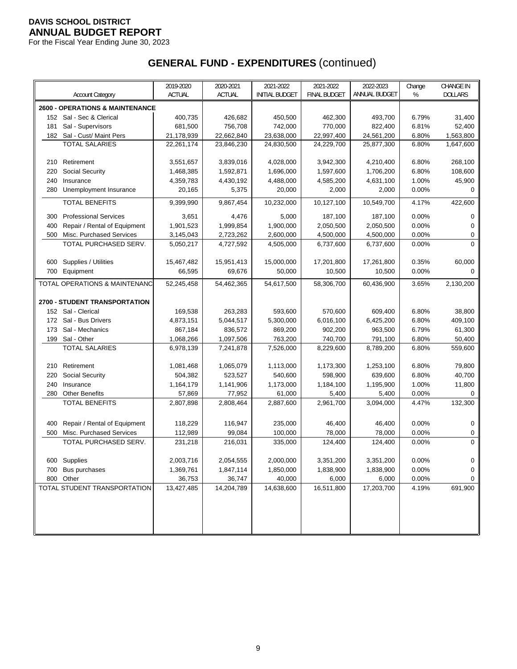For the Fiscal Year Ending June 30, 2023

|     |                                            | 2019-2020     | 2020-2021  | 2021-2022             | 2021-2022           | 2022-2023     | Change | <b>CHANGE IN</b> |
|-----|--------------------------------------------|---------------|------------|-----------------------|---------------------|---------------|--------|------------------|
|     | <b>Account Category</b>                    | <b>ACTUAL</b> | ACTUAL     | <b>INITIAL BUDGET</b> | <b>FINAL BUDGET</b> | ANNUAL BUDGET | %      | <b>DOLLARS</b>   |
|     | <b>2600 - OPERATIONS &amp; MAINTENANCE</b> |               |            |                       |                     |               |        |                  |
|     | 152 Sal - Sec & Clerical                   | 400,735       | 426,682    | 450,500               | 462,300             | 493,700       | 6.79%  | 31,400           |
| 181 | Sal - Supervisors                          | 681,500       | 756,708    | 742,000               | 770,000             | 822,400       | 6.81%  | 52,400           |
|     | 182 Sal - Cust/ Maint Pers                 | 21,178,939    | 22,662,840 | 23,638,000            | 22,997,400          | 24,561,200    | 6.80%  | 1,563,800        |
|     | <b>TOTAL SALARIES</b>                      | 22,261,174    | 23,846,230 | 24,830,500            | 24,229,700          | 25,877,300    | 6.80%  | 1,647,600        |
|     |                                            |               |            |                       |                     |               |        |                  |
| 210 | Retirement                                 | 3,551,657     | 3,839,016  | 4,028,000             | 3,942,300           | 4,210,400     | 6.80%  | 268,100          |
| 220 | <b>Social Security</b>                     | 1,468,385     | 1,592,871  | 1,696,000             | 1,597,600           | 1,706,200     | 6.80%  | 108,600          |
| 240 | Insurance                                  | 4,359,783     | 4,430,192  | 4,488,000             | 4,585,200           | 4,631,100     | 1.00%  | 45,900           |
|     | 280 Unemployment Insurance                 | 20,165        | 5,375      | 20,000                | 2,000               | 2,000         | 0.00%  | 0                |
|     | <b>TOTAL BENEFITS</b>                      |               | 9,867,454  | 10,232,000            | 10,127,100          | 10,549,700    | 4.17%  | 422,600          |
|     |                                            | 9,399,990     |            |                       |                     |               |        |                  |
| 300 | <b>Professional Services</b>               | 3,651         | 4,476      | 5,000                 | 187,100             | 187,100       | 0.00%  | 0                |
| 400 | Repair / Rental of Equipment               | 1,901,523     | 1,999,854  | 1,900,000             | 2,050,500           | 2,050,500     | 0.00%  | 0                |
| 500 | Misc. Purchased Services                   | 3,145,043     | 2,723,262  | 2,600,000             | 4,500,000           | 4,500,000     | 0.00%  | 0                |
|     | TOTAL PURCHASED SERV.                      | 5,050,217     | 4,727,592  | 4,505,000             | 6,737,600           | 6,737,600     | 0.00%  | $\Omega$         |
|     |                                            |               |            |                       |                     |               |        |                  |
| 600 | Supplies / Utilities                       | 15,467,482    | 15,951,413 | 15,000,000            | 17,201,800          | 17,261,800    | 0.35%  | 60,000           |
|     | 700 Equipment                              | 66,595        | 69,676     | 50,000                | 10,500              | 10,500        | 0.00%  | 0                |
|     | TOTAL OPERATIONS & MAINTENANC              | 52,245,458    | 54,462,365 | 54.617.500            | 58,306,700          | 60,436,900    | 3.65%  | 2,130,200        |
|     |                                            |               |            |                       |                     |               |        |                  |
|     | <b>2700 - STUDENT TRANSPORTATION</b>       |               |            |                       |                     |               |        |                  |
|     | 152 Sal - Clerical                         | 169,538       | 263,283    | 593,600               | 570.600             | 609,400       | 6.80%  | 38,800           |
|     | 172 Sal - Bus Drivers                      | 4,873,151     | 5,044,517  | 5,300,000             | 6,016,100           | 6,425,200     | 6.80%  | 409,100          |
| 173 | Sal - Mechanics                            | 867,184       | 836,572    | 869,200               | 902,200             | 963,500       | 6.79%  | 61,300           |
|     | 199 Sal - Other                            | 1,068,266     | 1,097,506  | 763,200               | 740,700             | 791,100       | 6.80%  | 50,400           |
|     | <b>TOTAL SALARIES</b>                      | 6,978,139     | 7,241,878  | 7,526,000             | 8,229,600           | 8,789,200     | 6.80%  | 559,600          |
|     |                                            |               |            |                       |                     |               |        |                  |
| 210 | Retirement                                 | 1,081,468     | 1,065,079  | 1,113,000             | 1,173,300           | 1,253,100     | 6.80%  | 79,800           |
| 220 | <b>Social Security</b>                     | 504,382       | 523,527    | 540,600               | 598,900             | 639,600       | 6.80%  | 40,700           |
| 240 | Insurance                                  | 1,164,179     | 1,141,906  | 1,173,000             | 1,184,100           | 1,195,900     | 1.00%  | 11,800           |
| 280 | <b>Other Benefits</b>                      | 57,869        | 77,952     | 61,000                | 5,400               | 5,400         | 0.00%  | 0                |
|     | <b>TOTAL BENEFITS</b>                      | 2,807,898     | 2,808,464  | 2,887,600             | 2,961,700           | 3,094,000     | 4.47%  | 132,300          |
|     |                                            |               |            |                       |                     |               |        |                  |
| 400 | Repair / Rental of Equipment               | 118,229       | 116,947    | 235,000               | 46,400              | 46,400        | 0.00%  | 0                |
| 500 | Misc. Purchased Services                   | 112,989       | 99,084     | 100,000               | 78,000              | 78,000        | 0.00%  | 0                |
|     | TOTAL PURCHASED SERV.                      | 231,218       | 216,031    | 335,000               | 124,400             | 124,400       | 0.00%  | 0                |
|     |                                            |               |            |                       |                     |               |        |                  |
|     | 600 Supplies                               | 2,003,716     | 2,054,555  | 2,000,000             | 3,351,200           | 3,351,200     | 0.00%  | 0                |
| 700 | Bus purchases                              | 1,369,761     | 1,847,114  | 1,850,000             | 1,838,900           | 1,838,900     | 0.00%  | 0                |
|     | 800 Other                                  | 36,753        | 36,747     | 40,000                | 6,000               | 6,000         | 0.00%  | 0                |
|     | TOTAL STUDENT TRANSPORTATION               | 13,427,485    | 14,204,789 | 14,638,600            | 16,511,800          | 17,203,700    | 4.19%  | 691,900          |
|     |                                            |               |            |                       |                     |               |        |                  |
|     |                                            |               |            |                       |                     |               |        |                  |
|     |                                            |               |            |                       |                     |               |        |                  |
|     |                                            |               |            |                       |                     |               |        |                  |
|     |                                            |               |            |                       |                     |               |        |                  |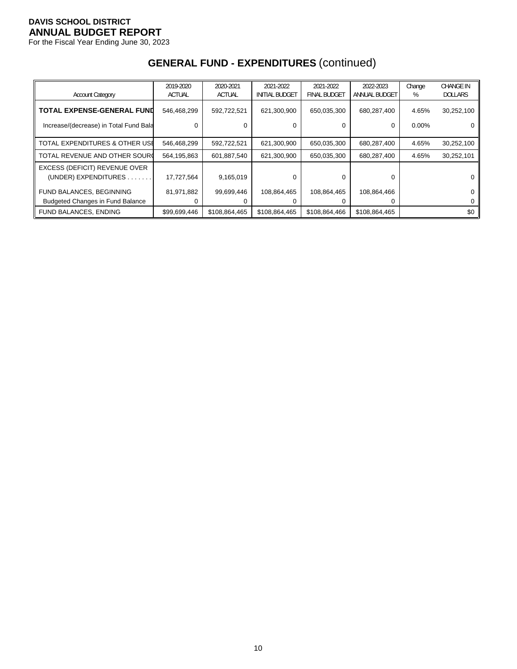For the Fiscal Year Ending June 30, 2023

|                                         | 2019-2020<br><b>ACTUAL</b> | 2020-2021<br><b>ACTUAL</b> | 2021-2022<br><b>INITIAL BUDGET</b> | 2021-2022<br><b>FINAL BUDGET</b> | 2022-2023<br>ANNUAL BUDGET | Change<br>% | <b>CHANGE IN</b><br><b>DOLLARS</b> |
|-----------------------------------------|----------------------------|----------------------------|------------------------------------|----------------------------------|----------------------------|-------------|------------------------------------|
| <b>Account Category</b>                 |                            |                            |                                    |                                  |                            |             |                                    |
| <b>TOTAL EXPENSE-GENERAL FUND</b>       | 546,468,299                | 592,722,521                | 621,300,900                        | 650,035,300                      | 680,287,400                | 4.65%       | 30,252,100                         |
| Increase/(decrease) in Total Fund Bala  | 0                          |                            |                                    | 0                                | 0                          | $0.00\%$    |                                    |
| TOTAL EXPENDITURES & OTHER USE          | 546,468,299                | 592,722,521                | 621,300,900                        | 650,035,300                      | 680,287,400                | 4.65%       | 30,252,100                         |
| TOTAL REVENUE AND OTHER SOURC           | 564,195,863                | 601,887,540                | 621,300,900                        | 650,035,300                      | 680,287,400                | 4.65%       | 30,252,101                         |
| EXCESS (DEFICIT) REVENUE OVER           |                            |                            |                                    |                                  |                            |             |                                    |
| (UNDER) EXPENDITURES.                   | 17,727,564                 | 9,165,019                  | 0                                  | 0                                | 0                          |             |                                    |
| FUND BALANCES, BEGINNING                | 81,971,882                 | 99,699,446                 | 108,864,465                        | 108,864,465                      | 108,864,466                |             |                                    |
| <b>Budgeted Changes in Fund Balance</b> |                            |                            |                                    |                                  | 0                          |             |                                    |
| <b>FUND BALANCES, ENDING</b>            | \$99,699,446               | \$108,864,465              | \$108,864,465                      | \$108,864,466                    | \$108,864,465              |             | \$0                                |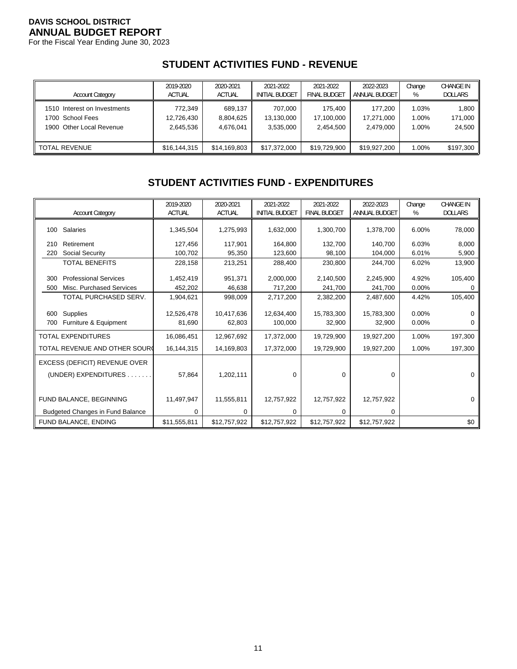For the Fiscal Year Ending June 30, 2023

# **STUDENT ACTIVITIES FUND - REVENUE**

| <b>Account Category</b>      | 2019-2020     | 2020-2021     | 2021-2022             | 2021-2022           | 2022-2023     | Change | <b>CHANGE IN</b> |
|------------------------------|---------------|---------------|-----------------------|---------------------|---------------|--------|------------------|
|                              | <b>ACTUAL</b> | <b>ACTUAL</b> | <b>INITIAL BUDGET</b> | <b>FINAL BUDGET</b> | ANNUAL BUDGET | %      | <b>DOLLARS</b>   |
| 1510 Interest on Investments | 772.349       | 689.137       | 707.000               | 175.400             | 177.200       | 1.03%  | 1,800            |
| 1700 School Fees             | 12,726,430    | 8,804,625     | 13,130,000            | 17.100.000          | 17.271.000    | 1.00%  | 171,000          |
| 1900 Other Local Revenue     | 2.645.536     | 4.676.041     | 3.535.000             | 2.454.500           | 2.479.000     | 1.00%  | 24,500           |
| <b>TOTAL REVENUE</b>         | \$16,144,315  | \$14,169,803  | \$17,372,000          | \$19,729,900        | \$19,927,200  | 1.00%  | \$197,300        |

# **STUDENT ACTIVITIES FUND - EXPENDITURES**

|                                                                        | 2019-2020            | 2020-2021            | 2021-2022             | 2021-2022            | 2022-2023            | Change         | <b>CHANGE IN</b> |
|------------------------------------------------------------------------|----------------------|----------------------|-----------------------|----------------------|----------------------|----------------|------------------|
| <b>Account Category</b>                                                | ACTUAL               | <b>ACTUAL</b>        | <b>INITIAL BUDGET</b> | <b>FINAL BUDGET</b>  | <b>ANNUAL BUDGET</b> | %              | <b>DOLLARS</b>   |
| 100 Salaries                                                           | 1,345,504            | 1,275,993            | 1,632,000             | 1,300,700            | 1,378,700            | 6.00%          | 78,000           |
| Retirement<br>210                                                      | 127,456              | 117,901              | 164,800               | 132,700              | 140,700              | 6.03%          | 8,000            |
| Social Security<br>220                                                 | 100,702              | 95,350               | 123,600               | 98,100               | 104,000              | 6.01%          | 5,900            |
| <b>TOTAL BENEFITS</b>                                                  | 228,158              | 213,251              | 288,400               | 230,800              | 244,700              | 6.02%          | 13,900           |
| <b>Professional Services</b><br>300<br>Misc. Purchased Services<br>500 | 1,452,419<br>452,202 | 951,371<br>46,638    | 2,000,000<br>717,200  | 2,140,500<br>241,700 | 2,245,900<br>241,700 | 4.92%<br>0.00% | 105,400          |
| TOTAL PURCHASED SERV.                                                  | 1,904,621            | 998,009              | 2,717,200             | 2,382,200            | 2,487,600            | 4.42%          | 105,400          |
| <b>Supplies</b><br>600<br>Furniture & Equipment<br>700                 | 12,526,478<br>81,690 | 10,417,636<br>62,803 | 12,634,400<br>100,000 | 15,783,300<br>32,900 | 15,783,300<br>32,900 | 0.00%<br>0.00% | 0<br>0           |
| <b>TOTAL EXPENDITURES</b>                                              | 16,086,451           | 12,967,692           | 17,372,000            | 19,729,900           | 19,927,200           | 1.00%          | 197,300          |
| TOTAL REVENUE AND OTHER SOURC                                          | 16,144,315           | 14,169,803           | 17,372,000            | 19,729,900           | 19,927,200           | 1.00%          | 197,300          |
| EXCESS (DEFICIT) REVENUE OVER<br>(UNDER) EXPENDITURES                  | 57,864               | 1,202,111            | 0                     | 0                    | $\mathbf 0$          |                | 0                |
| FUND BALANCE, BEGINNING                                                | 11,497,947           | 11,555,811           | 12,757,922            | 12,757,922           | 12,757,922           |                | 0                |
| Budgeted Changes in Fund Balance                                       | 0                    | 0                    | 0                     | 0                    | 0                    |                |                  |
| FUND BALANCE, ENDING                                                   | \$11,555,811         | \$12,757,922         | \$12,757,922          | \$12,757,922         | \$12,757,922         |                | \$0              |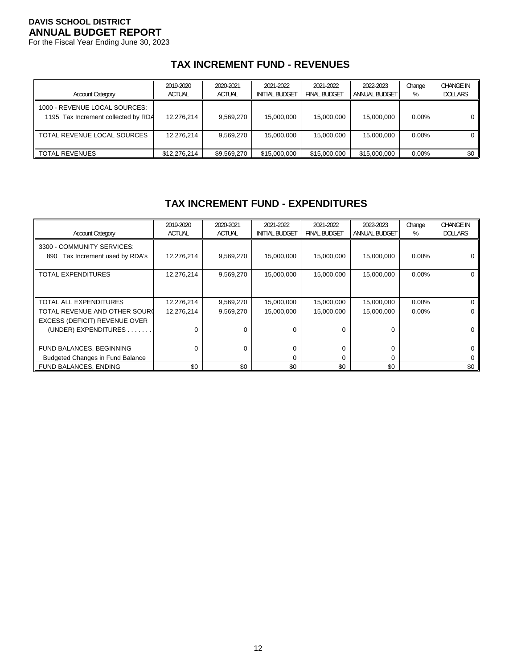For the Fiscal Year Ending June 30, 2023

# **TAX INCREMENT FUND - REVENUES**

| <b>Account Category</b>                                              | 2019-2020<br><b>ACTUAL</b> | 2020-2021<br><b>ACTUAL</b> | 2021-2022<br><b>INITIAL BUDGET</b> | 2021-2022<br><b>FINAL BUDGET</b> | 2022-2023<br>ANNUAL BUDGET | Change<br>% | <b>CHANGE IN</b><br><b>DOLLARS</b> |
|----------------------------------------------------------------------|----------------------------|----------------------------|------------------------------------|----------------------------------|----------------------------|-------------|------------------------------------|
| 1000 - REVENUE LOCAL SOURCES:<br>1195 Tax Increment collected by RDA | 12.276.214                 | 9.569.270                  | 15,000,000                         | 15,000,000                       | 15,000,000                 | $0.00\%$    | 0 I                                |
| TOTAL REVENUE LOCAL SOURCES                                          | 12.276.214                 | 9.569.270                  | 15,000,000                         | 15,000,000                       | 15.000.000                 | $0.00\%$    |                                    |
| <b>TOTAL REVENUES</b>                                                | \$12,276,214               | \$9,569,270                | \$15,000,000                       | \$15,000,000                     | \$15,000,000               | $0.00\%$    | \$0 I                              |

# **TAX INCREMENT FUND - EXPENDITURES**

| <b>Account Category</b>                                          | 2019-2020<br><b>ACTUAL</b> | 2020-2021<br><b>ACTUAL</b> | 2021-2022<br><b>INITIAL BUDGET</b> | 2021-2022<br><b>FINAL BUDGET</b> | 2022-2023<br>ANNUAL BUDGET | Change<br>% | <b>CHANGE IN</b><br><b>DOLLARS</b> |
|------------------------------------------------------------------|----------------------------|----------------------------|------------------------------------|----------------------------------|----------------------------|-------------|------------------------------------|
| 3300 - COMMUNITY SERVICES:<br>Tax Increment used by RDA's<br>890 | 12,276,214                 | 9,569,270                  | 15,000,000                         | 15,000,000                       | 15,000,000                 | $0.00\%$    |                                    |
| TOTAL EXPENDITURES                                               | 12,276,214                 | 9,569,270                  | 15,000,000                         | 15,000,000                       | 15,000,000                 | 0.00%       | 0                                  |
|                                                                  |                            |                            |                                    |                                  |                            |             |                                    |
| TOTAL ALL EXPENDITURES                                           | 12,276,214                 | 9,569,270                  | 15,000,000                         | 15,000,000                       | 15,000,000                 | $0.00\%$    | 0                                  |
| TOTAL REVENUE AND OTHER SOURC                                    | 12,276,214                 | 9,569,270                  | 15,000,000                         | 15,000,000                       | 15,000,000                 | $0.00\%$    |                                    |
| EXCESS (DEFICIT) REVENUE OVER                                    |                            |                            |                                    |                                  |                            |             |                                    |
| (UNDER) EXPENDITURES.                                            | $\Omega$                   | $\Omega$                   | $\Omega$                           | $\Omega$                         | $\Omega$                   |             | 0                                  |
|                                                                  |                            |                            |                                    |                                  |                            |             |                                    |
| FUND BALANCES, BEGINNING                                         | $\Omega$                   | $\Omega$                   | $\Omega$                           | 0                                | 0                          |             | 0                                  |
| <b>Budgeted Changes in Fund Balance</b>                          |                            |                            | 0                                  | 0                                | $\Omega$                   |             |                                    |
| <b>FUND BALANCES, ENDING</b>                                     | \$0                        | \$0                        | \$0                                | \$0                              | \$0                        |             | \$0                                |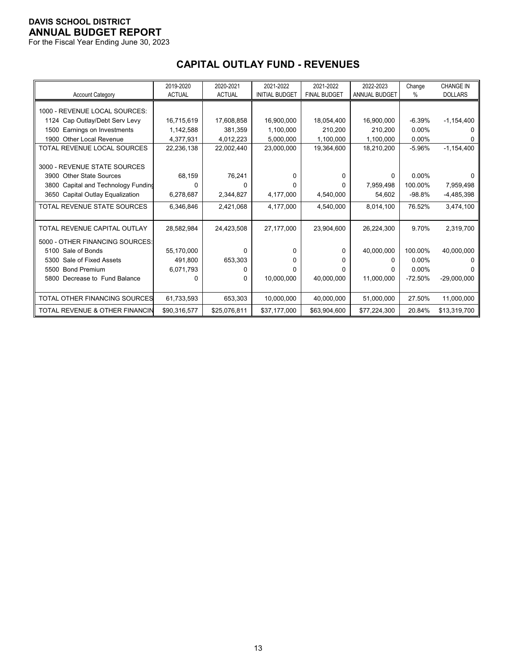For the Fiscal Year Ending June 30, 2023

|                                           | 2019-2020     | 2020-2021     | 2021-2022             | 2021-2022           | 2022-2023            | Change    | <b>CHANGE IN</b> |
|-------------------------------------------|---------------|---------------|-----------------------|---------------------|----------------------|-----------|------------------|
| <b>Account Category</b>                   | <b>ACTUAL</b> | <b>ACTUAL</b> | <b>INITIAL BUDGET</b> | <b>FINAL BUDGET</b> | <b>ANNUAL BUDGET</b> | %         | <b>DOLLARS</b>   |
|                                           |               |               |                       |                     |                      |           |                  |
| 1000 - REVENUE LOCAL SOURCES:             |               |               |                       |                     |                      |           |                  |
| 1124 Cap Outlay/Debt Serv Levy            | 16,715,619    | 17,608,858    | 16,900,000            | 18,054,400          | 16,900,000           | $-6.39%$  | $-1,154,400$     |
| Earnings on Investments<br>1500           | 1,142,588     | 381.359       | 1,100,000             | 210.200             | 210.200              | 0.00%     |                  |
| Other Local Revenue<br>1900               | 4,377,931     | 4,012,223     | 5,000,000             | 1,100,000           | 1,100,000            | $0.00\%$  |                  |
| TOTAL REVENUE LOCAL SOURCES               | 22,236,138    | 22,002,440    | 23,000,000            | 19,364,600          | 18,210,200           | $-5.96%$  | $-1,154,400$     |
|                                           |               |               |                       |                     |                      |           |                  |
| 3000 - REVENUE STATE SOURCES              |               |               |                       |                     |                      |           |                  |
| <b>Other State Sources</b><br>3900        | 68,159        | 76,241        | n                     | 0                   | $\Omega$             | $0.00\%$  |                  |
| Capital and Technology Funding<br>3800    | $\Omega$      |               |                       | n.                  | 7,959,498            | 100.00%   | 7,959,498        |
| Capital Outlay Equalization<br>3650       | 6,278,687     | 2,344,827     | 4,177,000             | 4,540,000           | 54,602               | $-98.8%$  | $-4,485,398$     |
| TOTAL REVENUE STATE SOURCES               | 6,346,846     | 2,421,068     | 4,177,000             | 4,540,000           | 8,014,100            | 76.52%    | 3,474,100        |
|                                           |               |               |                       |                     |                      |           |                  |
| TOTAL REVENUE CAPITAL OUTLAY              | 28,582,984    | 24,423,508    | 27,177,000            | 23,904,600          | 26,224,300           | 9.70%     | 2,319,700        |
| 5000 - OTHER FINANCING SOURCES:           |               |               |                       |                     |                      |           |                  |
| 5100 Sale of Bonds                        | 55,170,000    | <sup>0</sup>  | 0                     | 0                   | 40,000,000           | 100.00%   | 40,000,000       |
|                                           |               |               |                       |                     |                      |           |                  |
| Sale of Fixed Assets<br>5300              | 491,800       | 653,303       | O                     | 0                   | $\Omega$             | $0.00\%$  |                  |
| <b>Bond Premium</b><br>5500               | 6,071,793     |               | U                     | U                   | 0                    | $0.00\%$  |                  |
| Decrease to Fund Balance<br>5800          | 0             | <sup>0</sup>  | 10.000.000            | 40.000.000          | 11.000.000           | $-72.50%$ | $-29,000,000$    |
|                                           |               |               |                       |                     |                      |           |                  |
| TOTAL OTHER FINANCING SOURCES             | 61,733,593    | 653,303       | 10,000,000            | 40,000,000          | 51,000,000           | 27.50%    | 11,000,000       |
| <b>TOTAL REVENUE &amp; OTHER FINANCIN</b> | \$90,316,577  | \$25,076,811  | \$37,177,000          | \$63,904,600        | \$77,224,300         | 20.84%    | \$13,319,700     |

# **CAPITAL OUTLAY FUND - REVENUES**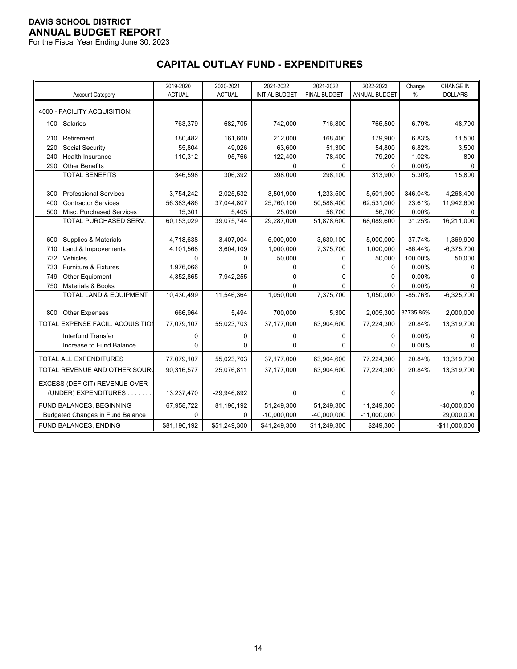For the Fiscal Year Ending June 30, 2023

# **CAPITAL OUTLAY FUND - EXPENDITURES**

|     |                                         | 2019-2020<br><b>ACTUAL</b> | 2020-2021<br><b>ACTUAL</b> | 2021-2022             | 2021-2022<br><b>FINAL BUDGET</b> | 2022-2023     | Change    | <b>CHANGE IN</b> |
|-----|-----------------------------------------|----------------------------|----------------------------|-----------------------|----------------------------------|---------------|-----------|------------------|
|     | <b>Account Category</b>                 |                            |                            | <b>INITIAL BUDGET</b> |                                  | ANNUAL BUDGET | $\%$      | <b>DOLLARS</b>   |
|     | 4000 - FACILITY ACQUISITION:            |                            |                            |                       |                                  |               |           |                  |
|     | 100 Salaries                            | 763,379                    | 682,705                    | 742,000               | 716,800                          | 765,500       | 6.79%     | 48,700           |
| 210 | Retirement                              | 180,482                    | 161,600                    | 212,000               | 168,400                          | 179,900       | 6.83%     | 11,500           |
| 220 | Social Security                         | 55,804                     | 49,026                     | 63,600                | 51,300                           | 54,800        | 6.82%     | 3,500            |
| 240 | <b>Health Insurance</b>                 | 110,312                    | 95,766                     | 122,400               | 78,400                           | 79,200        | 1.02%     | 800              |
| 290 | <b>Other Benefits</b>                   |                            |                            | 0                     | 0                                | 0             | 0.00%     | 0                |
|     | <b>TOTAL BENEFITS</b>                   | 346,598                    | 306,392                    | 398,000               | 298,100                          | 313,900       | 5.30%     | 15,800           |
| 300 | <b>Professional Services</b>            | 3,754,242                  | 2,025,532                  | 3,501,900             | 1,233,500                        | 5,501,900     | 346.04%   | 4,268,400        |
| 400 | <b>Contractor Services</b>              | 56,383,486                 | 37,044,807                 | 25,760,100            | 50,588,400                       | 62,531,000    | 23.61%    | 11,942,600       |
| 500 | Misc. Purchased Services                | 15,301                     | 5,405                      | 25,000                | 56,700                           | 56,700        | 0.00%     | 0                |
|     | TOTAL PURCHASED SERV.                   | 60,153,029                 | 39,075,744                 | 29,287,000            | 51,878,600                       | 68,089,600    | 31.25%    | 16,211,000       |
|     |                                         |                            |                            |                       |                                  |               |           |                  |
| 600 | Supplies & Materials                    | 4,718,638                  | 3,407,004                  | 5,000,000             | 3,630,100                        | 5,000,000     | 37.74%    | 1,369,900        |
| 710 | Land & Improvements                     | 4,101,568                  | 3,604,109                  | 1,000,000             | 7,375,700                        | 1,000,000     | $-86.44%$ | $-6,375,700$     |
| 732 | Vehicles                                | $\mathbf 0$                | 0                          | 50,000                | 0                                | 50,000        | 100.00%   | 50,000           |
| 733 | Furniture & Fixtures                    | 1,976,066                  | U                          | 0                     | 0                                | 0             | 0.00%     | 0                |
| 749 | Other Equipment                         | 4,352,865                  | 7,942,255                  | 0                     | 0                                | 0             | 0.00%     | 0                |
| 750 | Materials & Books                       |                            |                            | 0                     | 0                                | 0             | 0.00%     | $\Omega$         |
|     | TOTAL LAND & EQUIPMENT                  | 10,430,499                 | 11,546,364                 | 1,050,000             | 7,375,700                        | 1,050,000     | $-85.76%$ | $-6,325,700$     |
| 800 | <b>Other Expenses</b>                   | 666,964                    | 5,494                      | 700,000               | 5,300                            | 2,005,300     | 37735.85% | 2,000,000        |
|     | TOTAL EXPENSE FACIL. ACQUISITION        | 77,079,107                 | 55,023,703                 | 37,177,000            | 63,904,600                       | 77,224,300    | 20.84%    | 13,319,700       |
|     | Interfund Transfer                      | $\mathbf 0$                | $\mathsf 0$                | $\mathbf 0$           | 0                                | 0             | 0.00%     | $\mathbf 0$      |
|     | Increase to Fund Balance                | 0                          | 0                          | 0                     | 0                                | 0             | 0.00%     | 0                |
|     | <b>TOTAL ALL EXPENDITURES</b>           | 77,079,107                 | 55,023,703                 | 37,177,000            | 63,904,600                       | 77,224,300    | 20.84%    | 13,319,700       |
|     | TOTAL REVENUE AND OTHER SOURO           | 90,316,577                 | 25,076,811                 | 37,177,000            | 63,904,600                       | 77,224,300    | 20.84%    | 13,319,700       |
|     | EXCESS (DEFICIT) REVENUE OVER           |                            |                            |                       |                                  |               |           |                  |
|     | (UNDER) EXPENDITURES                    | 13,237,470                 | $-29,946,892$              | $\mathbf 0$           | 0                                | $\mathbf 0$   |           | $\Omega$         |
|     | FUND BALANCES, BEGINNING                | 67,958,722                 | 81,196,192                 | 51,249,300            | 51,249,300                       | 11,249,300    |           | $-40,000,000$    |
|     | <b>Budgeted Changes in Fund Balance</b> | 0                          | 0                          | $-10,000,000$         | $-40,000,000$                    | $-11,000,000$ |           | 29,000,000       |
|     | FUND BALANCES, ENDING                   | \$81,196,192               | \$51,249,300               | \$41,249,300          | \$11,249,300                     | \$249,300     |           | $-$11,000,000$   |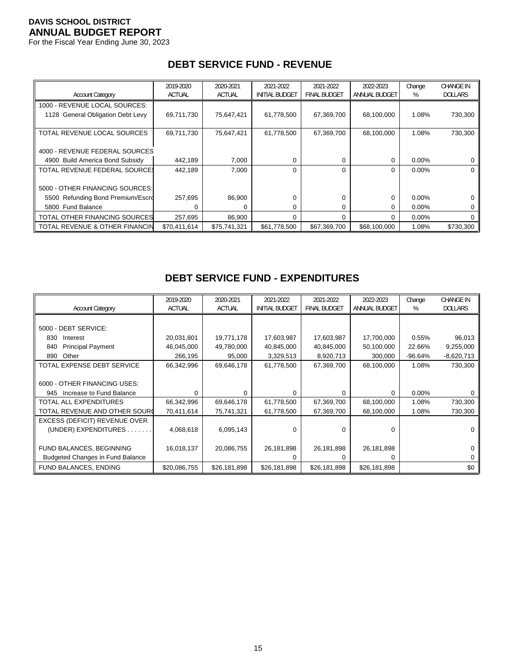For the Fiscal Year Ending June 30, 2023

| <b>Account Category</b>           | 2019-2020<br><b>ACTUAL</b> | 2020-2021<br><b>ACTUAL</b> | 2021-2022<br><b>INITIAL BUDGET</b> | 2021-2022<br><b>FINAL BUDGET</b> | 2022-2023<br>ANNUAL BUDGET | Change<br>% | <b>CHANGE IN</b><br><b>DOLLARS</b> |
|-----------------------------------|----------------------------|----------------------------|------------------------------------|----------------------------------|----------------------------|-------------|------------------------------------|
| 1000 - REVENUE LOCAL SOURCES:     |                            |                            |                                    |                                  |                            |             |                                    |
| 1128 General Obligation Debt Levy | 69,711,730                 | 75,647,421                 | 61,778,500                         | 67,369,700                       | 68,100,000                 | 1.08%       | 730,300                            |
|                                   |                            |                            |                                    |                                  |                            |             |                                    |
| TOTAL REVENUE LOCAL SOURCES       | 69,711,730                 | 75,647,421                 | 61,778,500                         | 67,369,700                       | 68,100,000                 | 1.08%       | 730,300                            |
|                                   |                            |                            |                                    |                                  |                            |             |                                    |
| 4000 - REVENUE FEDERAL SOURCES    |                            |                            |                                    |                                  |                            |             |                                    |
| 4900 Build America Bond Subsidy   | 442,189                    | 7,000                      | 0                                  | 0                                | 0                          | $0.00\%$    |                                    |
| TOTAL REVENUE FEDERAL SOURCE!     | 442.189                    | 7,000                      | $\Omega$                           | 0                                | $\Omega$                   | $0.00\%$    | 0                                  |
|                                   |                            |                            |                                    |                                  |                            |             |                                    |
| 5000 - OTHER FINANCING SOURCES:   |                            |                            |                                    |                                  |                            |             |                                    |
| 5500 Refunding Bond Premium/Escro | 257,695                    | 86,900                     |                                    | 0                                | $\mathbf 0$                | $0.00\%$    | 0                                  |
| 5800 Fund Balance                 | 0                          | 0                          | $\Omega$                           | 0                                | $\Omega$                   | $0.00\%$    | 0                                  |
| TOTAL OTHER FINANCING SOURCES     | 257,695                    | 86,900                     | $\Omega$                           | 0                                | $\Omega$                   | $0.00\%$    | 0                                  |
| TOTAL REVENUE & OTHER FINANCIN    | \$70.411.614               | \$75,741,321               | \$61,778,500                       | \$67,369,700                     | \$68,100,000               | 1.08%       | \$730,300                          |

## **DEBT SERVICE FUND - REVENUE**

## **DEBT SERVICE FUND - EXPENDITURES**

| <b>Account Category</b>                 | 2019-2020<br><b>ACTUAL</b> | 2020-2021<br><b>ACTUAL</b> | 2021-2022<br><b>INITIAL BUDGET</b> | 2021-2022<br><b>FINAL BUDGET</b> | 2022-2023<br>ANNUAL BUDGET | Change<br>% | <b>CHANGE IN</b><br><b>DOLLARS</b> |
|-----------------------------------------|----------------------------|----------------------------|------------------------------------|----------------------------------|----------------------------|-------------|------------------------------------|
|                                         |                            |                            |                                    |                                  |                            |             |                                    |
| 5000 - DEBT SERVICE:                    |                            |                            |                                    |                                  |                            |             |                                    |
| 830<br>Interest                         | 20,031,801                 | 19,771,178                 | 17,603,987                         | 17,603,987                       | 17,700,000                 | 0.55%       | 96,013                             |
| <b>Principal Payment</b><br>840         | 46,045,000                 | 49,780,000                 | 40,845,000                         | 40,845,000                       | 50,100,000                 | 22.66%      | 9,255,000                          |
| Other<br>890                            | 266,195                    | 95,000                     | 3,329,513                          | 8,920,713                        | 300,000                    | $-96.64%$   | $-8,620,713$                       |
| TOTAL EXPENSE DEBT SERVICE              | 66,342,996                 | 69,646,178                 | 61,778,500                         | 67,369,700                       | 68,100,000                 | 1.08%       | 730,300                            |
|                                         |                            |                            |                                    |                                  |                            |             |                                    |
| 6000 - OTHER FINANCING USES:            |                            |                            |                                    |                                  |                            |             |                                    |
| Increase to Fund Balance<br>945         | $\Omega$                   | U                          | $\Omega$                           | 0                                | $\Omega$                   | $0.00\%$    |                                    |
| <b>TOTAL ALL EXPENDITURES</b>           | 66,342,996                 | 69,646,178                 | 61,778,500                         | 67,369,700                       | 68,100,000                 | 1.08%       | 730,300                            |
| TOTAL REVENUE AND OTHER SOURC           | 70,411,614                 | 75,741,321                 | 61,778,500                         | 67,369,700                       | 68,100,000                 | 1.08%       | 730,300                            |
| EXCESS (DEFICIT) REVENUE OVER           |                            |                            |                                    |                                  |                            |             |                                    |
| (UNDER) EXPENDITURES.                   | 4,068,618                  | 6,095,143                  | $\Omega$                           | 0                                | $\Omega$                   |             |                                    |
|                                         |                            |                            |                                    |                                  |                            |             |                                    |
| FUND BALANCES, BEGINNING                | 16,018,137                 | 20,086,755                 | 26,181,898                         | 26,181,898                       | 26,181,898                 |             |                                    |
| <b>Budgeted Changes in Fund Balance</b> |                            |                            |                                    | Ω                                | 0                          |             |                                    |
| FUND BALANCES, ENDING                   | \$20,086,755               | \$26,181,898               | \$26,181,898                       | \$26,181,898                     | \$26,181,898               |             | \$0                                |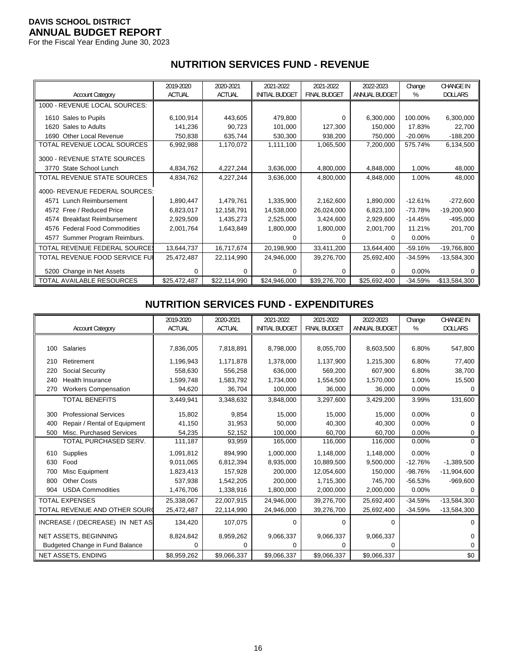For the Fiscal Year Ending June 30, 2023

|                                  | 2019-2020     | 2020-2021     | 2021-2022             | 2021-2022           | 2022-2023     | Change    | <b>CHANGE IN</b> |
|----------------------------------|---------------|---------------|-----------------------|---------------------|---------------|-----------|------------------|
| <b>Account Category</b>          | <b>ACTUAL</b> | <b>ACTUAL</b> | <b>INITIAL BUDGET</b> | <b>FINAL BUDGET</b> | ANNUAL BUDGET | %         | <b>DOLLARS</b>   |
| 1000 - REVENUE LOCAL SOURCES:    |               |               |                       |                     |               |           |                  |
| 1610 Sales to Pupils             | 6,100,914     | 443,605       | 479,800               | 0                   | 6,300,000     | 100.00%   | 6,300,000        |
| 1620 Sales to Adults             | 141,236       | 90,723        | 101,000               | 127,300             | 150,000       | 17.83%    | 22,700           |
| 1690 Other Local Revenue         | 750,838       | 635,744       | 530,300               | 938,200             | 750,000       | $-20.06%$ | $-188,200$       |
| TOTAL REVENUE LOCAL SOURCES      | 6,992,988     | 1,170,072     | 1,111,100             | 1,065,500           | 7,200,000     | 575.74%   | 6,134,500        |
| 3000 - REVENUE STATE SOURCES     |               |               |                       |                     |               |           |                  |
| 3770 State School Lunch          | 4,834,762     | 4,227,244     | 3,636,000             | 4,800,000           | 4,848,000     | 1.00%     | 48,000           |
| TOTAL REVENUE STATE SOURCES      | 4,834,762     | 4,227,244     | 3,636,000             | 4,800,000           | 4,848,000     | 1.00%     | 48,000           |
| 4000- REVENUE FEDERAL SOURCES:   |               |               |                       |                     |               |           |                  |
| 4571 Lunch Reimbursement         | 1,890,447     | 1,479,761     | 1,335,900             | 2,162,600           | 1,890,000     | $-12.61%$ | $-272,600$       |
| 4572 Free / Reduced Price        | 6,823,017     | 12,158,791    | 14,538,000            | 26,024,000          | 6,823,100     | $-73.78%$ | $-19,200,900$    |
| 4574 Breakfast Reimbursement     | 2,929,509     | 1,435,273     | 2,525,000             | 3,424,600           | 2,929,600     | $-14.45%$ | $-495,000$       |
| 4576 Federal Food Commodities    | 2,001,764     | 1,643,849     | 1,800,000             | 1,800,000           | 2,001,700     | 11.21%    | 201,700          |
| Summer Program Reimburs.<br>4577 |               |               |                       | 0                   | 0             | $0.00\%$  | 0                |
| TOTAL REVENUE FEDERAL SOURCE:    | 13,644,737    | 16,717,674    | 20,198,900            | 33,411,200          | 13,644,400    | $-59.16%$ | $-19,766,800$    |
| TOTAL REVENUE FOOD SERVICE FUI   | 25,472,487    | 22,114,990    | 24,946,000            | 39,276,700          | 25,692,400    | $-34.59%$ | $-13,584,300$    |
| 5200 Change in Net Assets        | 0             | 0             | $\Omega$              | 0                   | 0             | $0.00\%$  | 0                |
| TOTAL AVAILABLE RESOURCES        | \$25,472,487  | \$22,114,990  | \$24,946,000          | \$39,276,700        | \$25,692,400  | $-34.59%$ | $-$13,584,300$   |

# **NUTRITION SERVICES FUND - REVENUE**

#### **NUTRITION SERVICES FUND - EXPENDITURES**

|     |                                 | 2019-2020     | 2020-2021     | 2021-2022             | 2021-2022           | 2022-2023            | Change    | <b>CHANGE IN</b> |
|-----|---------------------------------|---------------|---------------|-----------------------|---------------------|----------------------|-----------|------------------|
|     | <b>Account Category</b>         | <b>ACTUAL</b> | <b>ACTUAL</b> | <b>INITIAL BUDGET</b> | <b>FINAL BUDGET</b> | <b>ANNUAL BUDGET</b> | %         | <b>DOLLARS</b>   |
|     |                                 |               |               |                       |                     |                      |           |                  |
| 100 | Salaries                        | 7,836,005     | 7,818,891     | 8,798,000             | 8,055,700           | 8,603,500            | 6.80%     | 547,800          |
| 210 | Retirement                      | 1,196,943     | 1,171,878     | 1,378,000             | 1,137,900           | 1,215,300            | 6.80%     | 77,400           |
| 220 | Social Security                 | 558,630       | 556,258       | 636,000               | 569,200             | 607.900              | 6.80%     | 38,700           |
| 240 | <b>Health Insurance</b>         | 1,599,748     | 1,583,792     | 1,734,000             | 1,554,500           | 1,570,000            | 1.00%     | 15,500           |
| 270 | <b>Workers Compensation</b>     | 94,620        | 36,704        | 100,000               | 36,000              | 36,000               | 0.00%     | $\Omega$         |
|     | <b>TOTAL BENEFITS</b>           | 3,449,941     | 3,348,632     | 3,848,000             | 3,297,600           | 3,429,200            | 3.99%     | 131,600          |
| 300 | <b>Professional Services</b>    | 15,802        | 9.854         | 15.000                | 15,000              | 15.000               | 0.00%     | 0                |
| 400 | Repair / Rental of Equipment    | 41,150        | 31,953        | 50.000                | 40,300              | 40,300               | 0.00%     | O                |
| 500 | Misc. Purchased Services        | 54,235        | 52,152        | 100,000               | 60,700              | 60,700               | 0.00%     | 0                |
|     | TOTAL PURCHASED SERV.           | 111,187       | 93,959        | 165,000               | 116,000             | 116,000              | 0.00%     | $\Omega$         |
| 610 | Supplies                        | 1,091,812     | 894,990       | 1,000,000             | 1,148,000           | 1,148,000            | 0.00%     | 0                |
| 630 | Food                            | 9,011,065     | 6,812,394     | 8,935,000             | 10,889,500          | 9,500,000            | $-12.76%$ | $-1,389,500$     |
| 700 | Misc Equipment                  | 1,823,413     | 157,928       | 200,000               | 12,054,600          | 150.000              | $-98.76%$ | $-11,904,600$    |
| 800 | <b>Other Costs</b>              | 537,938       | 1,542,205     | 200,000               | 1,715,300           | 745,700              | $-56.53%$ | $-969,600$       |
| 904 | <b>USDA Commodities</b>         | 1,476,706     | 1,338,916     | 1,800,000             | 2,000,000           | 2,000,000            | 0.00%     | O                |
|     | <b>TOTAL EXPENSES</b>           | 25,338,067    | 22,007,915    | 24,946,000            | 39,276,700          | 25,692,400           | $-34.59%$ | $-13,584,300$    |
|     | TOTAL REVENUE AND OTHER SOURC   | 25,472,487    | 22,114,990    | 24,946,000            | 39,276,700          | 25,692,400           | $-34.59%$ | $-13,584,300$    |
|     | INCREASE / (DECREASE) IN NET AS | 134,420       | 107,075       | $\Omega$              | $\Omega$            | $\Omega$             |           | 0                |
|     | NET ASSETS, BEGINNING           | 8,824,842     | 8,959,262     | 9,066,337             | 9,066,337           | 9,066,337            |           | 0                |
|     | Budgeted Change in Fund Balance | 0             | 0             | $\Omega$              | 0                   | 0                    |           | 0                |
|     | NET ASSETS, ENDING              | \$8,959,262   | \$9,066,337   | \$9,066,337           | \$9,066,337         | \$9,066,337          |           | \$0              |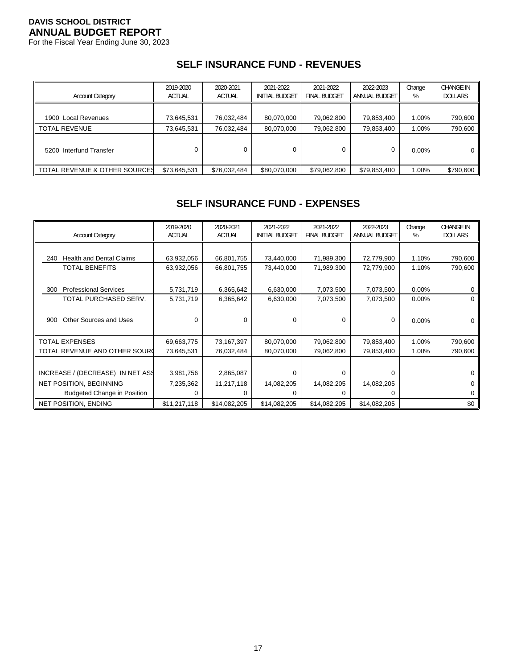For the Fiscal Year Ending June 30, 2023

# **SELF INSURANCE FUND - REVENUES**

| <b>Account Category</b>       | 2019-2020<br><b>ACTUAL</b> | 2020-2021<br><b>ACTUAL</b> | 2021-2022<br><b>INITIAL BUDGET</b> | 2021-2022<br><b>FINAL BUDGET</b> | 2022-2023<br>ANNUAL BUDGET | Change<br>% | <b>CHANGE IN</b><br><b>DOLLARS</b> |
|-------------------------------|----------------------------|----------------------------|------------------------------------|----------------------------------|----------------------------|-------------|------------------------------------|
| 1900 Local Revenues           | 73,645,531                 | 76,032,484                 | 80,070,000                         | 79,062,800                       | 79,853,400                 | 1.00%       | 790,600                            |
| <b>TOTAL REVENUE</b>          | 73,645,531                 | 76,032,484                 | 80,070,000                         | 79,062,800                       | 79,853,400                 | 1.00%       | 790,600                            |
| 5200 Interfund Transfer       |                            |                            |                                    |                                  | 0                          | $0.00\%$    | 0 I                                |
| TOTAL REVENUE & OTHER SOURCES | \$73,645,531               | \$76,032,484               | \$80,070,000                       | \$79,062,800                     | \$79,853,400               | 1.00%       | \$790,600                          |

# **SELF INSURANCE FUND - EXPENSES**

| <b>Account Category</b>                | 2019-2020<br><b>ACTUAL</b> | 2020-2021<br><b>ACTUAL</b> | 2021-2022<br><b>INITIAL BUDGET</b> | 2021-2022<br><b>FINAL BUDGET</b> | 2022-2023<br>ANNUAL BUDGET | Change<br>% | <b>CHANGE IN</b><br><b>DOLLARS</b> |
|----------------------------------------|----------------------------|----------------------------|------------------------------------|----------------------------------|----------------------------|-------------|------------------------------------|
|                                        |                            |                            |                                    |                                  |                            |             |                                    |
| <b>Health and Dental Claims</b><br>240 | 63,932,056                 | 66,801,755                 | 73,440,000                         | 71,989,300                       | 72,779,900                 | 1.10%       | 790,600                            |
| <b>TOTAL BENEFITS</b>                  | 63,932,056                 | 66,801,755                 | 73,440,000                         | 71,989,300                       | 72,779,900                 | 1.10%       | 790,600                            |
|                                        |                            |                            |                                    |                                  |                            |             |                                    |
| <b>Professional Services</b><br>300    | 5,731,719                  | 6,365,642                  | 6,630,000                          | 7,073,500                        | 7,073,500                  | $0.00\%$    | 0                                  |
| TOTAL PURCHASED SERV.                  | 5,731,719                  | 6,365,642                  | 6,630,000                          | 7,073,500                        | 7,073,500                  | 0.00%       | 0                                  |
|                                        |                            |                            |                                    |                                  |                            |             |                                    |
| Other Sources and Uses<br>900          | 0                          | 0                          | 0                                  | 0                                | 0                          | 0.00%       | 0                                  |
|                                        |                            |                            |                                    |                                  |                            |             |                                    |
| <b>TOTAL EXPENSES</b>                  | 69,663,775                 | 73,167,397                 | 80,070,000                         | 79,062,800                       | 79,853,400                 | 1.00%       | 790,600                            |
| TOTAL REVENUE AND OTHER SOURC          | 73,645,531                 | 76,032,484                 | 80,070,000                         | 79,062,800                       | 79,853,400                 | 1.00%       | 790,600                            |
|                                        |                            |                            |                                    |                                  |                            |             |                                    |
| INCREASE / (DECREASE) IN NET ASS       | 3,981,756                  | 2,865,087                  | 0                                  | 0                                | $\Omega$                   |             | O                                  |
| <b>NET POSITION, BEGINNING</b>         | 7,235,362                  | 11,217,118                 | 14,082,205                         | 14,082,205                       | 14,082,205                 |             | 0                                  |
| <b>Budgeted Change in Position</b>     | 0                          | 0                          |                                    | 0                                | $\Omega$                   |             | 0                                  |
| <b>NET POSITION, ENDING</b>            | \$11,217,118               | \$14,082,205               | \$14,082,205                       | \$14,082,205                     | \$14,082,205               |             | \$0                                |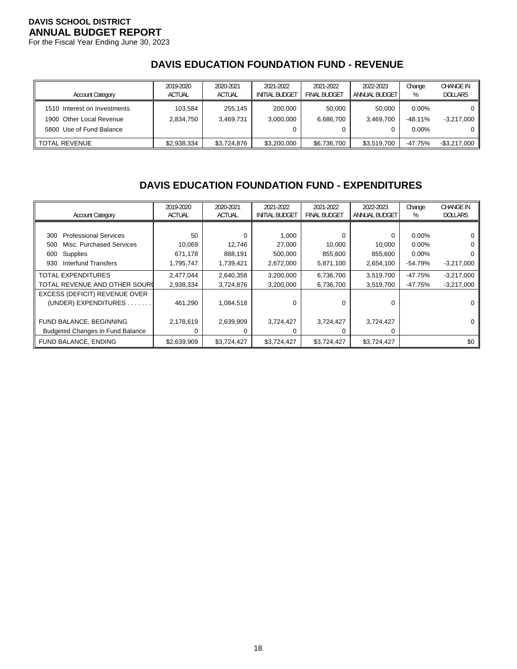For the Fiscal Year Ending June 30, 2023

## **DAVIS EDUCATION FOUNDATION FUND - REVENUE**

| <b>Account Category</b>                                                              | 2019-2020<br><b>ACTUAL</b> | 2020-2021<br><b>ACTUAL</b> | 2021-2022<br><b>INITIAL BUDGET</b> | 2021-2022<br><b>FINAL BUDGET</b> | 2022-2023<br>ANNUAL BUDGET | Change<br>%                       | CHANGE IN<br><b>DOLLARS</b> |
|--------------------------------------------------------------------------------------|----------------------------|----------------------------|------------------------------------|----------------------------------|----------------------------|-----------------------------------|-----------------------------|
| 1510 Interest on Investments<br>1900 Other Local Revenue<br>5800 Use of Fund Balance | 103.584<br>2.834.750       | 255.145<br>3.469.731       | 200.000<br>3,000,000               | 50.000<br>6,686,700              | 50.000<br>3.469.700        | $0.00\%$<br>$-48.11%$<br>$0.00\%$ | $-3,217,000$                |
| <b>TOTAL REVENUE</b>                                                                 | \$2,938,334                | \$3.724.876                | \$3,200,000                        | \$6,736,700                      | \$3,519,700                | $-47.75%$                         | $-$ \$3,217,000             |

# **DAVIS EDUCATION FOUNDATION FUND - EXPENDITURES**

| <b>Account Category</b>                 | 2019-2020<br><b>ACTUAL</b> | 2020-2021<br><b>ACTUAL</b> | 2021-2022<br><b>INITIAL BUDGET</b> | 2021-2022<br><b>FINAL BUDGET</b> | 2022-2023<br>ANNUAL BUDGET | Change<br>% | <b>CHANGE IN</b><br><b>DOLLARS</b> |
|-----------------------------------------|----------------------------|----------------------------|------------------------------------|----------------------------------|----------------------------|-------------|------------------------------------|
|                                         |                            |                            |                                    |                                  |                            |             |                                    |
| <b>Professional Services</b><br>300     | 50                         | 0                          | 1,000                              | 0                                | $\mathbf 0$                | $0.00\%$    |                                    |
| Misc. Purchased Services<br>500         | 10,069                     | 12,746                     | 27,000                             | 10,000                           | 10,000                     | $0.00\%$    |                                    |
| Supplies<br>600                         | 671,178                    | 888,191                    | 500,000                            | 855,600                          | 855,600                    | $0.00\%$    |                                    |
| Interfund Transfers<br>930              | 1,795,747                  | 1,739,421                  | 2,672,000                          | 5,871,100                        | 2,654,100                  | $-54.79%$   | $-3,217,000$                       |
| TOTAL EXPENDITURES                      | 2,477,044                  | 2,640,358                  | 3,200,000                          | 6,736,700                        | 3,519,700                  | $-47.75%$   | $-3,217,000$                       |
| TOTAL REVENUE AND OTHER SOURC           | 2,938,334                  | 3,724,876                  | 3,200,000                          | 6,736,700                        | 3,519,700                  | $-47.75%$   | $-3,217,000$                       |
| EXCESS (DEFICIT) REVENUE OVER           |                            |                            |                                    |                                  |                            |             |                                    |
| (UNDER) EXPENDITURES.                   | 461,290                    | 1,084,518                  | $\Omega$                           | 0                                | $\Omega$                   |             |                                    |
|                                         |                            |                            |                                    |                                  |                            |             |                                    |
| FUND BALANCE, BEGINNING                 | 2,178,619                  | 2,639,909                  | 3,724,427                          | 3,724,427                        | 3,724,427                  |             |                                    |
| <b>Budgeted Changes in Fund Balance</b> |                            |                            | ∩                                  | 0                                | $\Omega$                   |             |                                    |
| FUND BALANCE, ENDING                    | \$2,639,909                | \$3,724,427                | \$3,724,427                        | \$3,724,427                      | \$3,724,427                |             | \$0                                |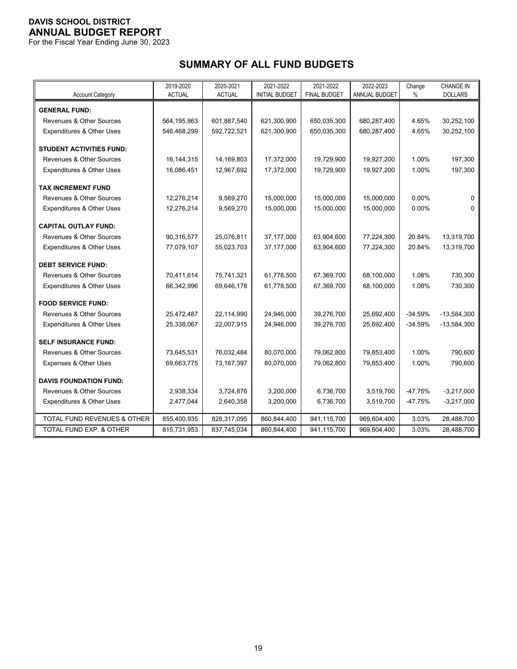For the Fiscal Year Ending June 30, 2023

# **SUMMARY OF ALL FUND BUDGETS**

|                                     | 2019-2020     | 2020-2021     | 2021-2022             | 2021-2022           | 2022-2023     | Change    | <b>CHANGE IN</b> |
|-------------------------------------|---------------|---------------|-----------------------|---------------------|---------------|-----------|------------------|
| <b>Account Category</b>             | <b>ACTUAL</b> | <b>ACTUAL</b> | <b>INITIAL BUDGET</b> | <b>FINAL BUDGET</b> | ANNUAL BUDGET | %         | <b>DOLLARS</b>   |
| <b>GENERAL FUND:</b>                |               |               |                       |                     |               |           |                  |
| <b>Revenues &amp; Other Sources</b> | 564,195,863   | 601,887,540   | 621,300,900           | 650,035,300         | 680,287,400   | 4.65%     | 30,252,100       |
| Expenditures & Other Uses           | 546,468,299   | 592,722,521   | 621,300,900           | 650,035,300         | 680,287,400   | 4.65%     | 30,252,100       |
| <b>STUDENT ACTIVITIES FUND:</b>     |               |               |                       |                     |               |           |                  |
| Revenues & Other Sources            | 16,144,315    | 14,169,803    | 17,372,000            | 19,729,900          | 19,927,200    | 1.00%     | 197,300          |
| Expenditures & Other Uses           | 16,086,451    | 12,967,692    | 17,372,000            | 19,729,900          | 19,927,200    | 1.00%     | 197,300          |
|                                     |               |               |                       |                     |               |           |                  |
| <b>TAX INCREMENT FUND</b>           |               |               |                       |                     |               |           |                  |
| <b>Revenues &amp; Other Sources</b> | 12,276,214    | 9,569,270     | 15,000,000            | 15,000,000          | 15,000,000    | 0.00%     | 0                |
| Expenditures & Other Uses           | 12,276,214    | 9,569,270     | 15,000,000            | 15,000,000          | 15,000,000    | 0.00%     | 0                |
| <b>CAPITAL OUTLAY FUND:</b>         |               |               |                       |                     |               |           |                  |
| <b>Revenues &amp; Other Sources</b> | 90.316.577    | 25,076,811    | 37,177,000            | 63,904,600          | 77,224,300    | 20.84%    | 13,319,700       |
| Expenditures & Other Uses           | 77,079,107    | 55,023,703    | 37,177,000            | 63,904,600          | 77,224,300    | 20.84%    | 13,319,700       |
|                                     |               |               |                       |                     |               |           |                  |
| <b>DEBT SERVICE FUND:</b>           |               |               |                       |                     |               |           |                  |
| Revenues & Other Sources            | 70,411,614    | 75,741,321    | 61,778,500            | 67,369,700          | 68,100,000    | 1.08%     | 730,300          |
| Expenditures & Other Uses           | 66,342,996    | 69,646,178    | 61,778,500            | 67,369,700          | 68,100,000    | 1.08%     | 730,300          |
|                                     |               |               |                       |                     |               |           |                  |
| <b>FOOD SERVICE FUND:</b>           |               |               |                       |                     |               |           |                  |
| Revenues & Other Sources            | 25,472,487    | 22,114,990    | 24,946,000            | 39,276,700          | 25,692,400    | $-34.59%$ | $-13,584,300$    |
| Expenditures & Other Uses           | 25,338,067    | 22,007,915    | 24,946,000            | 39,276,700          | 25,692,400    | $-34.59%$ | $-13,584,300$    |
| <b>SELF INSURANCE FUND:</b>         |               |               |                       |                     |               |           |                  |
| Revenues & Other Sources            | 73,645,531    | 76,032,484    | 80,070,000            | 79,062,800          | 79,853,400    | 1.00%     | 790,600          |
| Expenses & Other Uses               | 69,663,775    | 73,167,397    | 80,070,000            | 79,062,800          | 79,853,400    | 1.00%     | 790,600          |
|                                     |               |               |                       |                     |               |           |                  |
| <b>DAVIS FOUNDATION FUND:</b>       |               |               |                       |                     |               |           |                  |
| <b>Revenues &amp; Other Sources</b> | 2,938,334     | 3,724,876     | 3,200,000             | 6,736,700           | 3,519,700     | $-47.75%$ | $-3,217,000$     |
| Expenditures & Other Uses           | 2,477,044     | 2,640,358     | 3,200,000             | 6,736,700           | 3,519,700     | $-47.75%$ | $-3,217,000$     |
| TOTAL FUND REVENUES & OTHER         | 855,400,935   | 828,317,095   | 860,844,400           | 941,115,700         | 969,604,400   | 3.03%     | 28,488,700       |
| TOTAL FUND EXP. & OTHER             | 815,731,953   | 837,745,034   | 860,844,400           | 941,115,700         | 969,604,400   | 3.03%     | 28,488,700       |